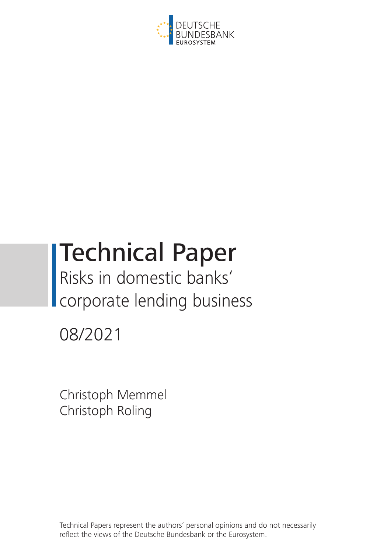

# Technical Paper Risks in domestic banks'

corporate lending business

08/2021

Christoph Memmel Christoph Roling

Technical Papers represent the authors' personal opinions and do not necessarily reflect the views of the Deutsche Bundesbank or the Eurosystem.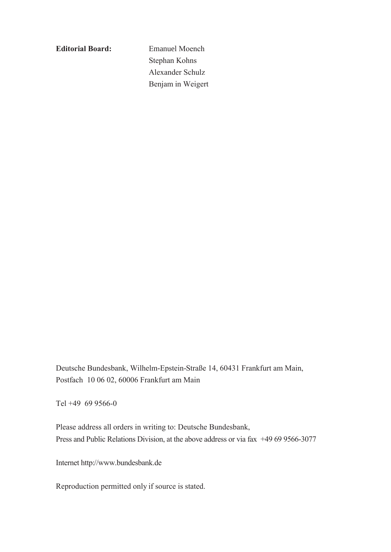**Editorial Board:** Emanuel Moench

Stephan Kohns Alexander Schulz Benjamin Weigert

Deutsche Bundesbank, Wilhelm-Epstein-Straße 14, 60431 Frankfurt am Main, Postfach 10 06 02, 60006 Frankfurt am Main

Tel +49 69 9566-0

Please address all orders in writing to: Deutsche Bundesbank, Press and Public Relations Division, at the above address or via fax +49 69 9566-3077

Internet http://www.bundesbank.de

Reproduction permitted only if source is stated.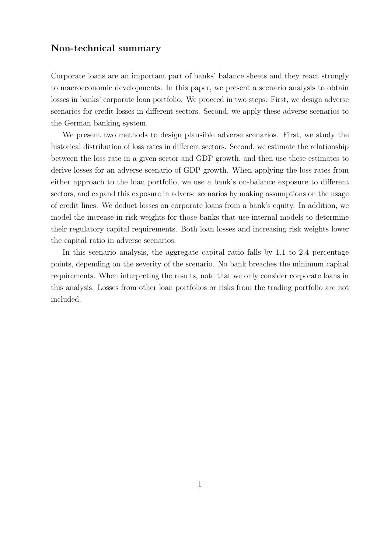## Non-technical summary

Corporate loans are an important part of banks' balance sheets and they react strongly to macroeconomic developments. In this paper, we present a scenario analysis to obtain losses in banks' corporate loan portfolio. We proceed in two steps: First, we design adverse scenarios for credit losses in different sectors. Second, we apply these adverse scenarios to the German banking system.

We present two methods to design plausible adverse scenarios. First, we study the historical distribution of loss rates in different sectors. Second, we estimate the relationship between the loss rate in a given sector and GDP growth, and then use these estimates to derive losses for an adverse scenario of GDP growth. When applying the loss rates from either approach to the loan portfolio, we use a bank's on-balance exposure to different sectors, and expand this exposure in adverse scenarios by making assumptions on the usage of credit lines. We deduct losses on corporate loans from a bank's equity. In addition, we model the increase in risk weights for those banks that use internal models to determine their regulatory capital requirements. Both loan losses and increasing risk weights lower the capital ratio in adverse scenarios.

In this scenario analysis, the aggregate capital ratio falls by 1.1 to 2.4 percentage points, depending on the severity of the scenario. No bank breaches the minimum capital requirements. When interpreting the results, note that we only consider corporate loans in this analysis. Losses from other loan portfolios or risks from the trading portfolio are not included.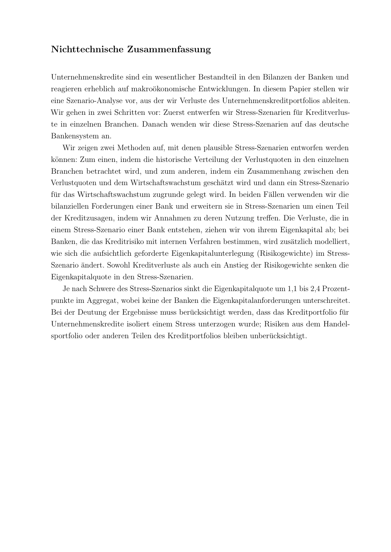## Nichttechnische Zusammenfassung

Unternehmenskredite sind ein wesentlicher Bestandteil in den Bilanzen der Banken und reagieren erheblich auf makroökonomische Entwicklungen. In diesem Papier stellen wir eine Szenario-Analyse vor, aus der wir Verluste des Unternehmenskreditportfolios ableiten. Wir gehen in zwei Schritten vor: Zuerst entwerfen wir Stress-Szenarien fur Kreditverlus- ¨ te in einzelnen Branchen. Danach wenden wir diese Stress-Szenarien auf das deutsche Bankensystem an.

Wir zeigen zwei Methoden auf, mit denen plausible Stress-Szenarien entworfen werden können: Zum einen, indem die historische Verteilung der Verlustquoten in den einzelnen Branchen betrachtet wird, und zum anderen, indem ein Zusammenhang zwischen den Verlustquoten und dem Wirtschaftswachstum geschätzt wird und dann ein Stress-Szenario für das Wirtschaftswachstum zugrunde gelegt wird. In beiden Fällen verwenden wir die bilanziellen Forderungen einer Bank und erweitern sie in Stress-Szenarien um einen Teil der Kreditzusagen, indem wir Annahmen zu deren Nutzung treffen. Die Verluste, die in einem Stress-Szenario einer Bank entstehen, ziehen wir von ihrem Eigenkapital ab; bei Banken, die das Kreditrisiko mit internen Verfahren bestimmen, wird zusätzlich modelliert, wie sich die aufsichtlich geforderte Eigenkapitalunterlegung (Risikogewichte) im Stress-Szenario ändert. Sowohl Kreditverluste als auch ein Anstieg der Risikogewichte senken die Eigenkapitalquote in den Stress-Szenarien.

Je nach Schwere des Stress-Szenarios sinkt die Eigenkapitalquote um 1,1 bis 2,4 Prozentpunkte im Aggregat, wobei keine der Banken die Eigenkapitalanforderungen unterschreitet. Bei der Deutung der Ergebnisse muss berücksichtigt werden, dass das Kreditportfolio für Unternehmenskredite isoliert einem Stress unterzogen wurde; Risiken aus dem Handelsportfolio oder anderen Teilen des Kreditportfolios bleiben unberücksichtigt.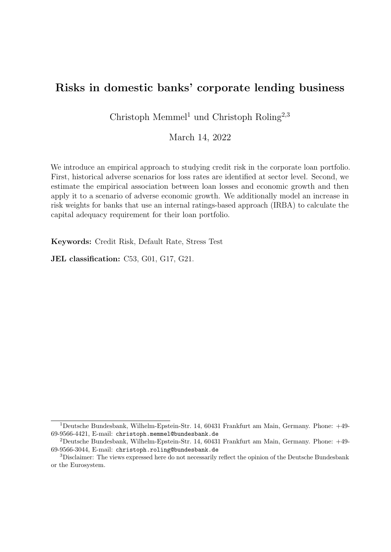# Risks in domestic banks' corporate lending business

Christoph Memmel<sup>1</sup> und Christoph Roling<sup>2,3</sup>

March 14, 2022

We introduce an empirical approach to studying credit risk in the corporate loan portfolio. First, historical adverse scenarios for loss rates are identified at sector level. Second, we estimate the empirical association between loan losses and economic growth and then apply it to a scenario of adverse economic growth. We additionally model an increase in risk weights for banks that use an internal ratings-based approach (IRBA) to calculate the capital adequacy requirement for their loan portfolio.

Keywords: Credit Risk, Default Rate, Stress Test

JEL classification: C53, G01, G17, G21.

<sup>1</sup>Deutsche Bundesbank, Wilhelm-Epstein-Str. 14, 60431 Frankfurt am Main, Germany. Phone: +49- 69-9566-4421, E-mail: christoph.memmel@bundesbank.de

<sup>2</sup>Deutsche Bundesbank, Wilhelm-Epstein-Str. 14, 60431 Frankfurt am Main, Germany. Phone: +49- 69-9566-3044, E-mail: christoph.roling@bundesbank.de

<sup>3</sup>Disclaimer: The views expressed here do not necessarily reflect the opinion of the Deutsche Bundesbank or the Eurosystem.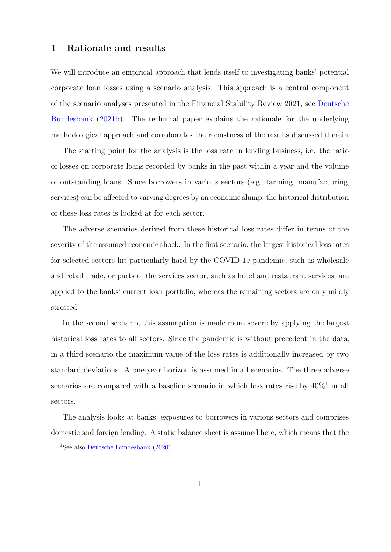## 1 Rationale and results

We will introduce an empirical approach that lends itself to investigating banks' potential corporate loan losses using a scenario analysis. This approach is a central component of the scenario analyses presented in the Financial Stability Review 2021, see [Deutsche](#page-25-0) [Bundesbank](#page-25-0) [\(2021b\)](#page-25-0). The technical paper explains the rationale for the underlying methodological approach and corroborates the robustness of the results discussed therein.

The starting point for the analysis is the loss rate in lending business, i.e. the ratio of losses on corporate loans recorded by banks in the past within a year and the volume of outstanding loans. Since borrowers in various sectors (e.g. farming, manufacturing, services) can be affected to varying degrees by an economic slump, the historical distribution of these loss rates is looked at for each sector.

The adverse scenarios derived from these historical loss rates differ in terms of the severity of the assumed economic shock. In the first scenario, the largest historical loss rates for selected sectors hit particularly hard by the COVID-19 pandemic, such as wholesale and retail trade, or parts of the services sector, such as hotel and restaurant services, are applied to the banks' current loan portfolio, whereas the remaining sectors are only mildly stressed.

In the second scenario, this assumption is made more severe by applying the largest historical loss rates to all sectors. Since the pandemic is without precedent in the data, in a third scenario the maximum value of the loss rates is additionally increased by two standard deviations. A one-year horizon is assumed in all scenarios. The three adverse scenarios are compared with a baseline scenario in which loss rates rise by  $40\%$ <sup>[1](#page-5-0)</sup> in all sectors.

The analysis looks at banks' exposures to borrowers in various sectors and comprises domestic and foreign lending. A static balance sheet is assumed here, which means that the

<span id="page-5-0"></span><sup>1</sup>See also [Deutsche Bundesbank](#page-25-1) [\(2020\)](#page-25-1).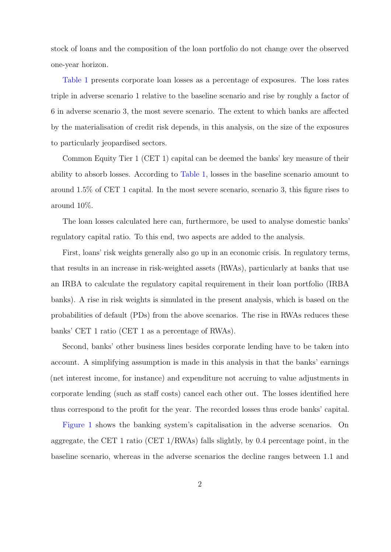stock of loans and the composition of the loan portfolio do not change over the observed one-year horizon.

[Table 1](#page-46-0) presents corporate loan losses as a percentage of exposures. The loss rates triple in adverse scenario 1 relative to the baseline scenario and rise by roughly a factor of 6 in adverse scenario 3, the most severe scenario. The extent to which banks are affected by the materialisation of credit risk depends, in this analysis, on the size of the exposures to particularly jeopardised sectors.

Common Equity Tier 1 (CET 1) capital can be deemed the banks' key measure of their ability to absorb losses. According to [Table 1,](#page-46-0) losses in the baseline scenario amount to around 1.5% of CET 1 capital. In the most severe scenario, scenario 3, this figure rises to around 10%.

The loan losses calculated here can, furthermore, be used to analyse domestic banks' regulatory capital ratio. To this end, two aspects are added to the analysis.

First, loans' risk weights generally also go up in an economic crisis. In regulatory terms, that results in an increase in risk-weighted assets (RWAs), particularly at banks that use an IRBA to calculate the regulatory capital requirement in their loan portfolio (IRBA banks). A rise in risk weights is simulated in the present analysis, which is based on the probabilities of default (PDs) from the above scenarios. The rise in RWAs reduces these banks' CET 1 ratio (CET 1 as a percentage of RWAs).

Second, banks' other business lines besides corporate lending have to be taken into account. A simplifying assumption is made in this analysis in that the banks' earnings (net interest income, for instance) and expenditure not accruing to value adjustments in corporate lending (such as staff costs) cancel each other out. The losses identified here thus correspond to the profit for the year. The recorded losses thus erode banks' capital.

[Figure 1](#page-26-0) shows the banking system's capitalisation in the adverse scenarios. On aggregate, the CET 1 ratio (CET 1/RWAs) falls slightly, by 0.4 percentage point, in the baseline scenario, whereas in the adverse scenarios the decline ranges between 1.1 and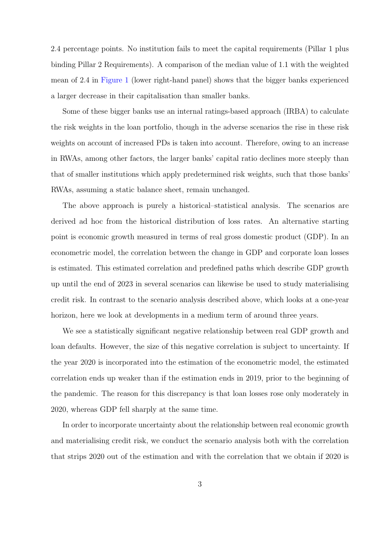2.4 percentage points. No institution fails to meet the capital requirements (Pillar 1 plus binding Pillar 2 Requirements). A comparison of the median value of 1.1 with the weighted mean of 2.4 in [Figure 1](#page-26-0) (lower right-hand panel) shows that the bigger banks experienced a larger decrease in their capitalisation than smaller banks.

Some of these bigger banks use an internal ratings-based approach (IRBA) to calculate the risk weights in the loan portfolio, though in the adverse scenarios the rise in these risk weights on account of increased PDs is taken into account. Therefore, owing to an increase in RWAs, among other factors, the larger banks' capital ratio declines more steeply than that of smaller institutions which apply predetermined risk weights, such that those banks' RWAs, assuming a static balance sheet, remain unchanged.

The above approach is purely a historical–statistical analysis. The scenarios are derived ad hoc from the historical distribution of loss rates. An alternative starting point is economic growth measured in terms of real gross domestic product (GDP). In an econometric model, the correlation between the change in GDP and corporate loan losses is estimated. This estimated correlation and predefined paths which describe GDP growth up until the end of 2023 in several scenarios can likewise be used to study materialising credit risk. In contrast to the scenario analysis described above, which looks at a one-year horizon, here we look at developments in a medium term of around three years.

We see a statistically significant negative relationship between real GDP growth and loan defaults. However, the size of this negative correlation is subject to uncertainty. If the year 2020 is incorporated into the estimation of the econometric model, the estimated correlation ends up weaker than if the estimation ends in 2019, prior to the beginning of the pandemic. The reason for this discrepancy is that loan losses rose only moderately in 2020, whereas GDP fell sharply at the same time.

In order to incorporate uncertainty about the relationship between real economic growth and materialising credit risk, we conduct the scenario analysis both with the correlation that strips 2020 out of the estimation and with the correlation that we obtain if 2020 is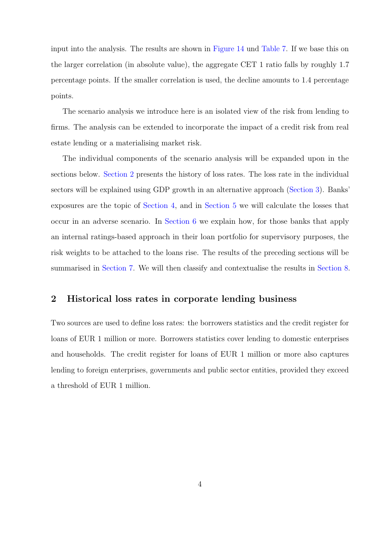input into the analysis. The results are shown in [Figure 14](#page-39-0) und [Table 7.](#page-57-0) If we base this on the larger correlation (in absolute value), the aggregate CET 1 ratio falls by roughly 1.7 percentage points. If the smaller correlation is used, the decline amounts to 1.4 percentage points.

The scenario analysis we introduce here is an isolated view of the risk from lending to firms. The analysis can be extended to incorporate the impact of a credit risk from real estate lending or a materialising market risk.

The individual components of the scenario analysis will be expanded upon in the sections below. [Section 2](#page-8-0) presents the history of loss rates. The loss rate in the individual sectors will be explained using GDP growth in an alternative approach [\(Section 3\)](#page-15-0). Banks' exposures are the topic of [Section 4,](#page-18-0) and in [Section 5](#page-19-0) we will calculate the losses that occur in an adverse scenario. In [Section 6](#page-20-0) we explain how, for those banks that apply an internal ratings-based approach in their loan portfolio for supervisory purposes, the risk weights to be attached to the loans rise. The results of the preceding sections will be summarised in [Section 7.](#page-22-0) We will then classify and contextualise the results in [Section 8.](#page-24-0)

## <span id="page-8-0"></span>2 Historical loss rates in corporate lending business

Two sources are used to define loss rates: the borrowers statistics and the credit register for loans of EUR 1 million or more. Borrowers statistics cover lending to domestic enterprises and households. The credit register for loans of EUR 1 million or more also captures lending to foreign enterprises, governments and public sector entities, provided they exceed a threshold of EUR 1 million.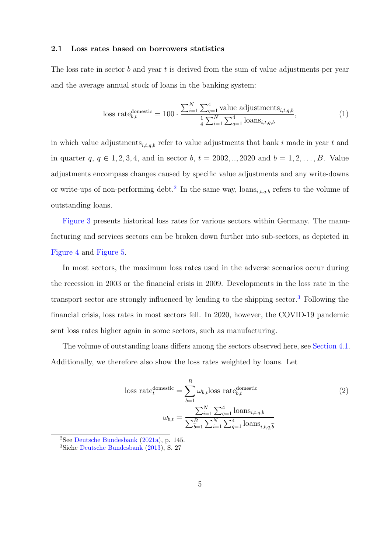#### 2.1 Loss rates based on borrowers statistics

The loss rate in sector b and year t is derived from the sum of value adjustments per year and the average annual stock of loans in the banking system:

<span id="page-9-4"></span><span id="page-9-3"></span>loss rate<sub>b,t</sub><sup>domestic</sup> = 100 · 
$$
\frac{\sum_{i=1}^{N} \sum_{q=1}^{4} \text{value adjustments}_{i,t,q,b}}{\frac{1}{4} \sum_{i=1}^{N} \sum_{q=1}^{4} \text{loans}_{i,t,q,b}},
$$
 (1)

in which value adjustments<sub>i,t,q,b</sub> refer to value adjustments that bank i made in year t and in quarter  $q, q \in 1, 2, 3, 4$ , and in sector  $b, t = 2002, ..., 2020$  and  $b = 1, 2, ..., B$ . Value adjustments encompass changes caused by specific value adjustments and any write-downs or write-ups of non-performing debt.<sup>[2](#page-9-0)</sup> In the same way, loans<sub>i,t,q,b</sub> refers to the volume of outstanding loans.

[Figure 3](#page-28-0) presents historical loss rates for various sectors within Germany. The manufacturing and services sectors can be broken down further into sub-sectors, as depicted in [Figure 4](#page-29-0) and [Figure 5.](#page-30-0)

In most sectors, the maximum loss rates used in the adverse scenarios occur during the recession in 2003 or the financial crisis in 2009. Developments in the loss rate in the transport sector are strongly influenced by lending to the shipping sector.[3](#page-9-1) Following the financial crisis, loss rates in most sectors fell. In 2020, however, the COVID-19 pandemic sent loss rates higher again in some sectors, such as manufacturing.

The volume of outstanding loans differs among the sectors observed here, see [Section 4.1.](#page-18-1) Additionally, we therefore also show the loss rates weighted by loans. Let

<span id="page-9-2"></span>loss rate<sup>domestic</sup>  
\n
$$
= \sum_{b=1}^{B} \omega_{b,t} \text{loss rate}_{b,t}^{\text{domestic}}
$$
\n
$$
\omega_{b,t} = \frac{\sum_{i=1}^{N} \sum_{q=1}^{4} \text{loans}_{i,t,q,b}}{\sum_{b=1}^{B} \sum_{i=1}^{N} \sum_{q=1}^{4} \text{loans}_{i,t,q,b}}
$$
\n(2)

<span id="page-9-0"></span> $2$ See [Deutsche Bundesbank](#page-25-2) [\(2021a\)](#page-25-2), p. 145.

<span id="page-9-1"></span><sup>3</sup>Siehe [Deutsche Bundesbank](#page-25-3) [\(2013\)](#page-25-3), S. 27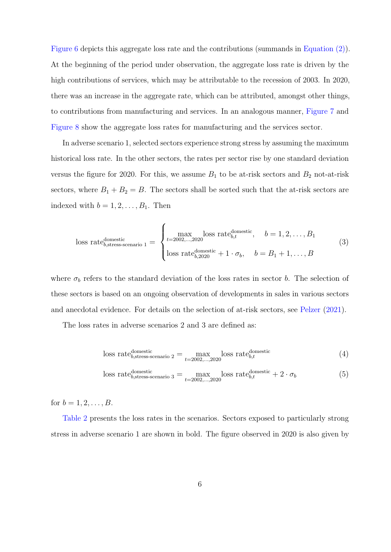[Figure 6](#page-31-0) depicts this aggregate loss rate and the contributions (summands in [Equation \(2\)\)](#page-9-2). At the beginning of the period under observation, the aggregate loss rate is driven by the high contributions of services, which may be attributable to the recession of 2003. In 2020, there was an increase in the aggregate rate, which can be attributed, amongst other things, to contributions from manufacturing and services. In an analogous manner, [Figure 7](#page-32-0) and [Figure 8](#page-33-0) show the aggregate loss rates for manufacturing and the services sector.

In adverse scenario 1, selected sectors experience strong stress by assuming the maximum historical loss rate. In the other sectors, the rates per sector rise by one standard deviation versus the figure for 2020. For this, we assume  $B_1$  to be at-risk sectors and  $B_2$  not-at-risk sectors, where  $B_1 + B_2 = B$ . The sectors shall be sorted such that the at-risk sectors are indexed with  $b = 1, 2, \ldots, B_1$ . Then

<span id="page-10-0"></span>loss rate<sub>b,stress-scenario 1</sub> = 
$$
\begin{cases} \max_{t=2002,\dots,2020} \text{loss rate}_{b,t}^{\text{domestic}}, & b=1,2,\dots,B_1\\ \text{loss rate}_{b,2020}^{\text{domestic}} + 1 \cdot \sigma_b, & b=B_1+1,\dots,B \end{cases}
$$
(3)

where  $\sigma_b$  refers to the standard deviation of the loss rates in sector b. The selection of these sectors is based on an ongoing observation of developments in sales in various sectors and anecdotal evidence. For details on the selection of at-risk sectors, see [Pelzer](#page-25-4) [\(2021\)](#page-25-4).

The loss rates in adverse scenarios 2 and 3 are defined as:

<span id="page-10-1"></span>loss rate<sub>b,stress-scenario</sub> 
$$
2 = \max_{t=2002,\dots,2020} \text{loss rate}_{b,t}^{\text{domestic}}
$$
 (4)

loss rate<sub>b,stress-scenario 3</sub><sup>d</sup> = 
$$
\max_{t=2002,\dots,2020} \text{loss rate}_{b,t}^{\text{domestic}} + 2 \cdot \sigma_b
$$
 (5)

for  $b = 1, 2, ..., B$ .

[Table 2](#page-48-0) presents the loss rates in the scenarios. Sectors exposed to particularly strong stress in adverse scenario 1 are shown in bold. The figure observed in 2020 is also given by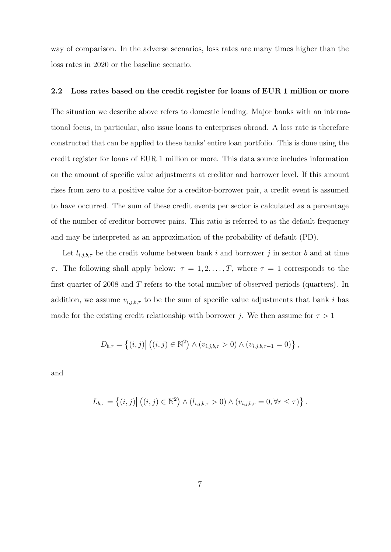<span id="page-11-1"></span>way of comparison. In the adverse scenarios, loss rates are many times higher than the loss rates in 2020 or the baseline scenario.

#### <span id="page-11-0"></span>2.2 Loss rates based on the credit register for loans of EUR 1 million or more

The situation we describe above refers to domestic lending. Major banks with an international focus, in particular, also issue loans to enterprises abroad. A loss rate is therefore constructed that can be applied to these banks' entire loan portfolio. This is done using the credit register for loans of EUR 1 million or more. This data source includes information on the amount of specific value adjustments at creditor and borrower level. If this amount rises from zero to a positive value for a creditor-borrower pair, a credit event is assumed to have occurred. The sum of these credit events per sector is calculated as a percentage of the number of creditor-borrower pairs. This ratio is referred to as the default frequency and may be interpreted as an approximation of the probability of default (PD).

Let  $l_{i,j,b,\tau}$  be the credit volume between bank i and borrower j in sector b and at time τ. The following shall apply below:  $τ = 1, 2, ..., T$ , where  $τ = 1$  corresponds to the first quarter of 2008 and  $T$  refers to the total number of observed periods (quarters). In addition, we assume  $v_{i,j,b,\tau}$  to be the sum of specific value adjustments that bank i has made for the existing credit relationship with borrower j. We then assume for  $\tau > 1$ 

$$
D_{b,\tau} = \{(i,j) | ((i,j) \in \mathbb{N}^2) \land (v_{i,j,b,\tau} > 0) \land (v_{i,j,b,\tau-1} = 0) \},
$$

and

$$
L_{b,\tau} = \left\{ (i,j) \middle| \left( (i,j) \in \mathbb{N}^2 \right) \wedge \left( l_{i,j,b,\tau} > 0 \right) \wedge \left( v_{i,j,b,\tau} = 0, \forall \tau \leq \tau \right) \right\}.
$$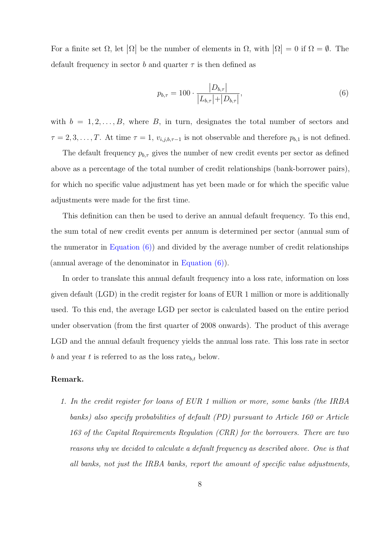For a finite set  $\Omega$ , let  $|\Omega|$  be the number of elements in  $\Omega$ , with  $|\Omega| = 0$  if  $\Omega = \emptyset$ . The default frequency in sector b and quarter  $\tau$  is then defined as

<span id="page-12-1"></span><span id="page-12-0"></span>
$$
p_{b,\tau} = 100 \cdot \frac{|D_{b,\tau}|}{|L_{b,\tau}| + |D_{b,\tau}|},\tag{6}
$$

with  $b = 1, 2, \ldots, B$ , where B, in turn, designates the total number of sectors and  $\tau = 2, 3, \ldots, T$ . At time  $\tau = 1$ ,  $v_{i,j,b,\tau-1}$  is not observable and therefore  $p_{b,1}$  is not defined.

The default frequency  $p_{b,\tau}$  gives the number of new credit events per sector as defined above as a percentage of the total number of credit relationships (bank-borrower pairs), for which no specific value adjustment has yet been made or for which the specific value adjustments were made for the first time.

This definition can then be used to derive an annual default frequency. To this end, the sum total of new credit events per annum is determined per sector (annual sum of the numerator in Equation  $(6)$ ) and divided by the average number of credit relationships (annual average of the denominator in [Equation \(6\)\)](#page-12-0).

In order to translate this annual default frequency into a loss rate, information on loss given default (LGD) in the credit register for loans of EUR 1 million or more is additionally used. To this end, the average LGD per sector is calculated based on the entire period under observation (from the first quarter of 2008 onwards). The product of this average LGD and the annual default frequency yields the annual loss rate. This loss rate in sector b and year t is referred to as the loss rate<sub>b,t</sub> below.

#### Remark.

1. In the credit register for loans of EUR 1 million or more, some banks (the IRBA banks) also specify probabilities of default (PD) pursuant to Article 160 or Article 163 of the Capital Requirements Regulation (CRR) for the borrowers. There are two reasons why we decided to calculate a default frequency as described above. One is that all banks, not just the IRBA banks, report the amount of specific value adjustments,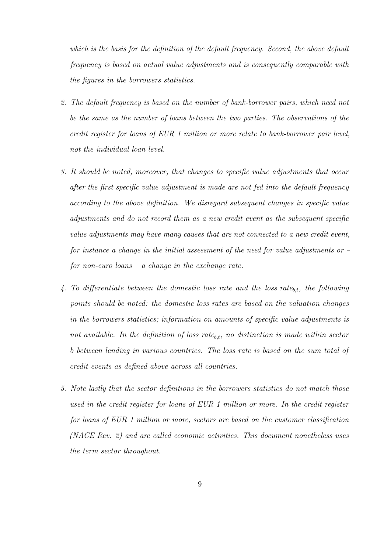which is the basis for the definition of the default frequency. Second, the above default frequency is based on actual value adjustments and is consequently comparable with the figures in the borrowers statistics.

- 2. The default frequency is based on the number of bank-borrower pairs, which need not be the same as the number of loans between the two parties. The observations of the credit register for loans of EUR 1 million or more relate to bank-borrower pair level, not the individual loan level.
- 3. It should be noted, moreover, that changes to specific value adjustments that occur after the first specific value adjustment is made are not fed into the default frequency according to the above definition. We disregard subsequent changes in specific value adjustments and do not record them as a new credit event as the subsequent specific value adjustments may have many causes that are not connected to a new credit event, for instance a change in the initial assessment of the need for value adjustments or  $-\frac{1}{2}$ for non-euro loans – a change in the exchange rate.
- 4. To differentiate between the domestic loss rate and the loss rate<sub>b,t</sub>, the following points should be noted: the domestic loss rates are based on the valuation changes in the borrowers statistics; information on amounts of specific value adjustments is not available. In the definition of loss rate<sub>b,t</sub>, no distinction is made within sector b between lending in various countries. The loss rate is based on the sum total of credit events as defined above across all countries.
- 5. Note lastly that the sector definitions in the borrowers statistics do not match those used in the credit register for loans of EUR 1 million or more. In the credit register for loans of EUR 1 million or more, sectors are based on the customer classification (NACE Rev. 2) and are called economic activities. This document nonetheless uses the term sector throughout.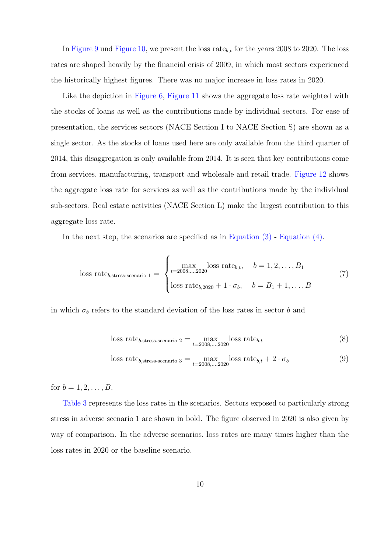In [Figure 9](#page-34-0) und [Figure 10,](#page-35-0) we present the loss rate<sub>b,t</sub> for the years 2008 to 2020. The loss rates are shaped heavily by the financial crisis of 2009, in which most sectors experienced the historically highest figures. There was no major increase in loss rates in 2020.

Like the depiction in [Figure 6,](#page-31-0) [Figure 11](#page-36-0) shows the aggregate loss rate weighted with the stocks of loans as well as the contributions made by individual sectors. For ease of presentation, the services sectors (NACE Section I to NACE Section S) are shown as a single sector. As the stocks of loans used here are only available from the third quarter of 2014, this disaggregation is only available from 2014. It is seen that key contributions come from services, manufacturing, transport and wholesale and retail trade. [Figure 12](#page-37-0) shows the aggregate loss rate for services as well as the contributions made by the individual sub-sectors. Real estate activities (NACE Section L) make the largest contribution to this aggregate loss rate.

In the next step, the scenarios are specified as in [Equation \(3\)](#page-10-0) - [Equation \(4\).](#page-10-1)

loss rate<sub>b,stress-scenario 1</sub> = 
$$
\begin{cases} \max_{t=2008,\dots,2020} \text{loss rate}_{b,t}, & b = 1, 2, \dots, B_1 \\ \text{loss rate}_{b,2020} + 1 \cdot \sigma_b, & b = B_1 + 1, \dots, B \end{cases}
$$
 (7)

in which  $\sigma_b$  refers to the standard deviation of the loss rates in sector b and

loss rate<sub>b,stress-scenario 2</sub> = 
$$
\max_{t=2008,\dots,2020} \text{loss rate}_{b,t}
$$
 (8)

loss rate<sub>b,stress-scenario 3</sub> = 
$$
\max_{t=2008,\dots,2020} \text{loss rate}_{b,t} + 2 \cdot \sigma_b
$$
 (9)

for  $b = 1, 2, ..., B$ .

[Table 3](#page-49-0) represents the loss rates in the scenarios. Sectors exposed to particularly strong stress in adverse scenario 1 are shown in bold. The figure observed in 2020 is also given by way of comparison. In the adverse scenarios, loss rates are many times higher than the loss rates in 2020 or the baseline scenario.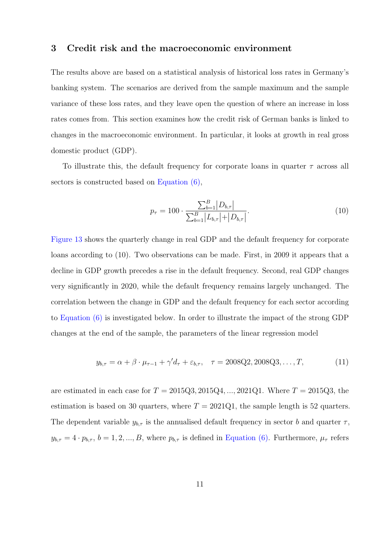## <span id="page-15-0"></span>3 Credit risk and the macroeconomic environment

The results above are based on a statistical analysis of historical loss rates in Germany's banking system. The scenarios are derived from the sample maximum and the sample variance of these loss rates, and they leave open the question of where an increase in loss rates comes from. This section examines how the credit risk of German banks is linked to changes in the macroeconomic environment. In particular, it looks at growth in real gross domestic product (GDP).

To illustrate this, the default frequency for corporate loans in quarter  $\tau$  across all sectors is constructed based on [Equation \(6\),](#page-12-0)

<span id="page-15-1"></span>
$$
p_{\tau} = 100 \cdot \frac{\sum_{b=1}^{B} |D_{b,\tau}|}{\sum_{b=1}^{B} |L_{b,\tau}| + |D_{b,\tau}|}.
$$
\n(10)

[Figure 13](#page-38-0) shows the quarterly change in real GDP and the default frequency for corporate loans according to (10). Two observations can be made. First, in 2009 it appears that a decline in GDP growth precedes a rise in the default frequency. Second, real GDP changes very significantly in 2020, while the default frequency remains largely unchanged. The correlation between the change in GDP and the default frequency for each sector according to [Equation \(6\)](#page-12-0) is investigated below. In order to illustrate the impact of the strong GDP changes at the end of the sample, the parameters of the linear regression model

$$
y_{b,\tau} = \alpha + \beta \cdot \mu_{\tau-1} + \gamma' d_{\tau} + \varepsilon_{b,\tau}, \quad \tau = 2008Q2, 2008Q3, \dots, T,
$$
 (11)

are estimated in each case for  $T = 2015Q3, 2015Q4, ..., 2021Q1$ . Where  $T = 2015Q3$ , the estimation is based on 30 quarters, where  $T = 2021Q1$ , the sample length is 52 quarters. The dependent variable  $y_{b,\tau}$  is the annualised default frequency in sector b and quarter  $\tau$ ,  $y_{b,\tau} = 4 \cdot p_{b,\tau}$ ,  $b = 1, 2, ..., B$ , where  $p_{b,\tau}$  is defined in [Equation \(6\).](#page-12-0) Furthermore,  $\mu_{\tau}$  refers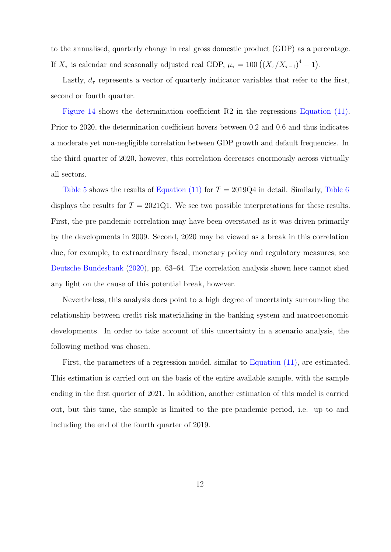to the annualised, quarterly change in real gross domestic product (GDP) as a percentage. If  $X_{\tau}$  is calendar and seasonally adjusted real GDP,  $\mu_{\tau} = 100 \left( \left( X_{\tau} / X_{\tau-1} \right)^4 - 1 \right)$ .

Lastly,  $d_{\tau}$  represents a vector of quarterly indicator variables that refer to the first, second or fourth quarter.

[Figure 14](#page-39-0) shows the determination coefficient R2 in the regressions [Equation \(11\).](#page-15-1) Prior to 2020, the determination coefficient hovers between 0.2 and 0.6 and thus indicates a moderate yet non-negligible correlation between GDP growth and default frequencies. In the third quarter of 2020, however, this correlation decreases enormously across virtually all sectors.

[Table 5](#page-53-0) shows the results of [Equation \(11\)](#page-15-1) for  $T = 2019Q4$  in detail. Similarly, [Table 6](#page-56-0) displays the results for  $T = 2021Q1$ . We see two possible interpretations for these results. First, the pre-pandemic correlation may have been overstated as it was driven primarily by the developments in 2009. Second, 2020 may be viewed as a break in this correlation due, for example, to extraordinary fiscal, monetary policy and regulatory measures; see [Deutsche Bundesbank](#page-25-1) [\(2020\)](#page-25-1), pp. 63–64. The correlation analysis shown here cannot shed any light on the cause of this potential break, however.

Nevertheless, this analysis does point to a high degree of uncertainty surrounding the relationship between credit risk materialising in the banking system and macroeconomic developments. In order to take account of this uncertainty in a scenario analysis, the following method was chosen.

First, the parameters of a regression model, similar to [Equation \(11\),](#page-15-1) are estimated. This estimation is carried out on the basis of the entire available sample, with the sample ending in the first quarter of 2021. In addition, another estimation of this model is carried out, but this time, the sample is limited to the pre-pandemic period, i.e. up to and including the end of the fourth quarter of 2019.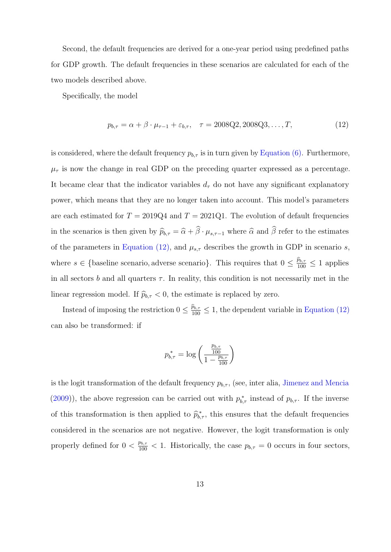Second, the default frequencies are derived for a one-year period using predefined paths for GDP growth. The default frequencies in these scenarios are calculated for each of the two models described above.

Specifically, the model

<span id="page-17-0"></span>
$$
p_{b,\tau} = \alpha + \beta \cdot \mu_{\tau-1} + \varepsilon_{b,\tau}, \quad \tau = 2008Q2, 2008Q3, \dots, T,
$$
 (12)

is considered, where the default frequency  $p_{b,\tau}$  is in turn given by [Equation \(6\).](#page-12-0) Furthermore,  $\mu_{\tau}$  is now the change in real GDP on the preceding quarter expressed as a percentage. It became clear that the indicator variables  $d_{\tau}$  do not have any significant explanatory power, which means that they are no longer taken into account. This model's parameters are each estimated for  $T = 2019Q4$  and  $T = 2021Q1$ . The evolution of default frequencies in the scenarios is then given by  $\widehat{p}_{b,\tau} = \widehat{\alpha} + \widehat{\beta} \cdot \mu_{s,\tau-1}$  where  $\widehat{\alpha}$  and  $\widehat{\beta}$  refer to the estimates of the parameters in [Equation \(12\),](#page-17-0) and  $\mu_{s,\tau}$  describes the growth in GDP in scenario s, where  $s \in \{\text{baseline scenario}, \text{adverse scenario}\}\$ . This requires that  $0 \leq \frac{\hat{p}_{b,\tau}}{100} \leq 1$  applies in all sectors b and all quarters  $\tau$ . In reality, this condition is not necessarily met in the linear regression model. If  $\hat{p}_{b,\tau} < 0$ , the estimate is replaced by zero.

Instead of imposing the restriction  $0 \leq \frac{\hat{p}_{b,\tau}}{100} \leq 1$ , the dependent variable in [Equation \(12\)](#page-17-0) can also be transformed: if

$$
p_{b,\tau}^* = \log \left( \frac{\frac{p_{b,\tau}}{100}}{1 - \frac{p_{b,\tau}}{100}} \right)
$$

is the logit transformation of the default frequency  $p_{b,\tau}$ , (see, inter alia, [Jimenez and Mencia](#page-25-5) [\(2009\)](#page-25-5)), the above regression can be carried out with  $p_{b,\tau}^*$  instead of  $p_{b,\tau}$ . If the inverse of this transformation is then applied to  $\widehat{p}_{b,\tau}^*$ , this ensures that the default frequencies considered in the scenarios are not negative. However, the logit transformation is only properly defined for  $0 < \frac{p_{b,\tau}}{100} < 1$ . Historically, the case  $p_{b,\tau} = 0$  occurs in four sectors,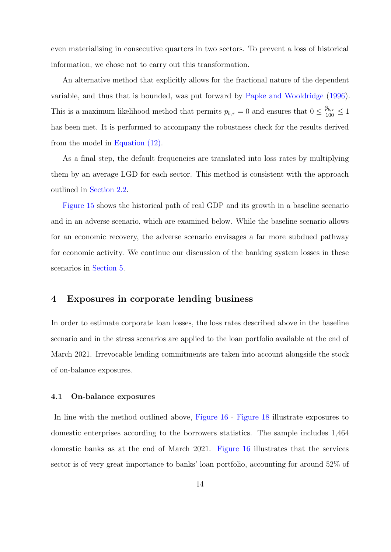even materialising in consecutive quarters in two sectors. To prevent a loss of historical information, we chose not to carry out this transformation.

An alternative method that explicitly allows for the fractional nature of the dependent variable, and thus that is bounded, was put forward by [Papke and Wooldridge](#page-25-6) [\(1996\)](#page-25-6). This is a maximum likelihood method that permits  $p_{b,\tau} = 0$  and ensures that  $0 \le \frac{\hat{p}_{b,\tau}}{100} \le 1$ has been met. It is performed to accompany the robustness check for the results derived from the model in [Equation \(12\).](#page-17-0)

As a final step, the default frequencies are translated into loss rates by multiplying them by an average LGD for each sector. This method is consistent with the approach outlined in [Section 2.2.](#page-11-0)

[Figure 15](#page-40-0) shows the historical path of real GDP and its growth in a baseline scenario and in an adverse scenario, which are examined below. While the baseline scenario allows for an economic recovery, the adverse scenario envisages a far more subdued pathway for economic activity. We continue our discussion of the banking system losses in these scenarios in [Section 5.](#page-19-0)

## <span id="page-18-0"></span>4 Exposures in corporate lending business

In order to estimate corporate loan losses, the loss rates described above in the baseline scenario and in the stress scenarios are applied to the loan portfolio available at the end of March 2021. Irrevocable lending commitments are taken into account alongside the stock of on-balance exposures.

#### <span id="page-18-1"></span>4.1 On-balance exposures

In line with the method outlined above, [Figure 16](#page-41-0) - [Figure 18](#page-43-0) illustrate exposures to domestic enterprises according to the borrowers statistics. The sample includes 1,464 domestic banks as at the end of March 2021. [Figure 16](#page-41-0) illustrates that the services sector is of very great importance to banks' loan portfolio, accounting for around 52% of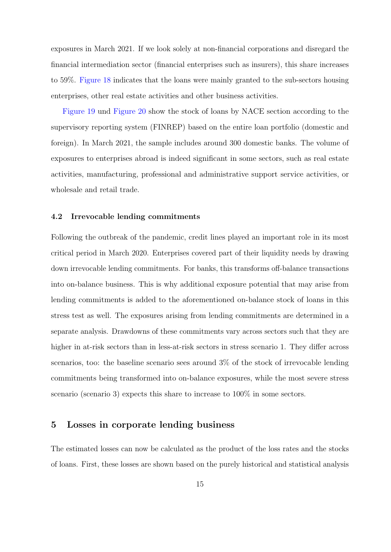exposures in March 2021. If we look solely at non-financial corporations and disregard the financial intermediation sector (financial enterprises such as insurers), this share increases to 59%. [Figure 18](#page-43-0) indicates that the loans were mainly granted to the sub-sectors housing enterprises, other real estate activities and other business activities.

[Figure 19](#page-44-0) und [Figure 20](#page-45-0) show the stock of loans by NACE section according to the supervisory reporting system (FINREP) based on the entire loan portfolio (domestic and foreign). In March 2021, the sample includes around 300 domestic banks. The volume of exposures to enterprises abroad is indeed significant in some sectors, such as real estate activities, manufacturing, professional and administrative support service activities, or wholesale and retail trade.

#### <span id="page-19-1"></span>4.2 Irrevocable lending commitments

Following the outbreak of the pandemic, credit lines played an important role in its most critical period in March 2020. Enterprises covered part of their liquidity needs by drawing down irrevocable lending commitments. For banks, this transforms off-balance transactions into on-balance business. This is why additional exposure potential that may arise from lending commitments is added to the aforementioned on-balance stock of loans in this stress test as well. The exposures arising from lending commitments are determined in a separate analysis. Drawdowns of these commitments vary across sectors such that they are higher in at-risk sectors than in less-at-risk sectors in stress scenario 1. They differ across scenarios, too: the baseline scenario sees around 3% of the stock of irrevocable lending commitments being transformed into on-balance exposures, while the most severe stress scenario (scenario 3) expects this share to increase to  $100\%$  in some sectors.

## <span id="page-19-0"></span>5 Losses in corporate lending business

The estimated losses can now be calculated as the product of the loss rates and the stocks of loans. First, these losses are shown based on the purely historical and statistical analysis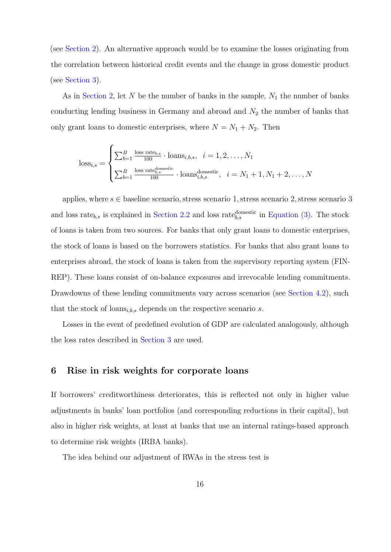<span id="page-20-1"></span>(see [Section 2\)](#page-8-0). An alternative approach would be to examine the losses originating from the correlation between historical credit events and the change in gross domestic product (see [Section 3\)](#page-15-0).

As in [Section 2,](#page-8-0) let  $N$  be the number of banks in the sample,  $N_1$  the number of banks conducting lending business in Germany and abroad and  $N_2$  the number of banks that only grant loans to domestic enterprises, where  $N = N_1 + N_2$ . Then

$$
\text{loss}_{i,s} = \begin{cases} \sum_{b=1}^{B} \frac{\text{loss rate}_{b,s}}{100} \cdot \text{loans}_{i,b,s}, & i = 1, 2, \dots, N_1 \\ \sum_{b=1}^{B} \frac{\text{loss rate}_{b,s}^{\text{domestic}}}{100} \cdot \text{loans}_{i,b,s}^{\text{domestic}}, & i = N_1 + 1, N_1 + 2, \dots, N \end{cases}
$$

applies, where  $s \in$  baseline scenario, stress scenario 1, stress scenario 2, stress scenario 3 and loss rate<sub>b,s</sub> is explained in [Section 2.2](#page-11-0) and loss rate<sub>b,s</sub> in [Equation \(3\).](#page-10-0) The stock of loans is taken from two sources. For banks that only grant loans to domestic enterprises, the stock of loans is based on the borrowers statistics. For banks that also grant loans to enterprises abroad, the stock of loans is taken from the supervisory reporting system (FIN-REP). These loans consist of on-balance exposures and irrevocable lending commitments. Drawdowns of these lending commitments vary across scenarios (see [Section 4.2\)](#page-19-1), such that the stock of loans $_{i,b,s}$  depends on the respective scenario s.

Losses in the event of predefined evolution of GDP are calculated analogously, although the loss rates described in [Section 3](#page-15-0) are used.

## <span id="page-20-0"></span>6 Rise in risk weights for corporate loans

If borrowers' creditworthiness deteriorates, this is reflected not only in higher value adjustments in banks' loan portfolios (and corresponding reductions in their capital), but also in higher risk weights, at least at banks that use an internal ratings-based approach to determine risk weights (IRBA banks).

The idea behind our adjustment of RWAs in the stress test is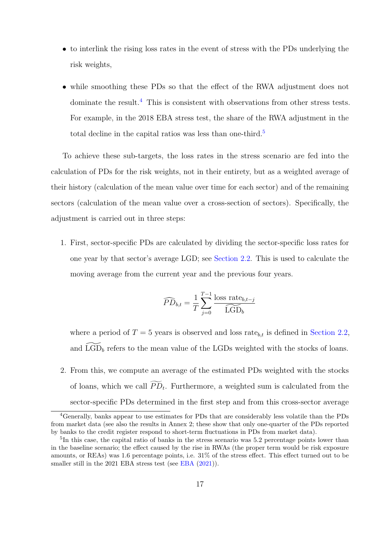- to interlink the rising loss rates in the event of stress with the PDs underlying the risk weights,
- while smoothing these PDs so that the effect of the RWA adjustment does not dominate the result.<sup>[4](#page-21-0)</sup> This is consistent with observations from other stress tests. For example, in the 2018 EBA stress test, the share of the RWA adjustment in the total decline in the capital ratios was less than one-third.<sup>[5](#page-21-1)</sup>

To achieve these sub-targets, the loss rates in the stress scenario are fed into the calculation of PDs for the risk weights, not in their entirety, but as a weighted average of their history (calculation of the mean value over time for each sector) and of the remaining sectors (calculation of the mean value over a cross-section of sectors). Specifically, the adjustment is carried out in three steps:

1. First, sector-specific PDs are calculated by dividing the sector-specific loss rates for one year by that sector's average LGD; see [Section 2.2.](#page-11-0) This is used to calculate the moving average from the current year and the previous four years.

$$
\widehat{PD}_{b,t} = \frac{1}{T} \sum_{j=0}^{T-1} \frac{\text{loss rate}_{b,t-j}}{\widehat{\text{LGD}}_b}
$$

where a period of  $T = 5$  years is observed and loss rate<sub>b,t</sub> is defined in [Section 2.2,](#page-11-0) and  $\widetilde{\text{LGD}}_b$  refers to the mean value of the LGDs weighted with the stocks of loans.

2. From this, we compute an average of the estimated PDs weighted with the stocks of loans, which we call  $PD_t$ . Furthermore, a weighted sum is calculated from the sector-specific PDs determined in the first step and from this cross-sector average

<span id="page-21-0"></span><sup>4</sup>Generally, banks appear to use estimates for PDs that are considerably less volatile than the PDs from market data (see also the results in Annex 2; these show that only one-quarter of the PDs reported by banks to the credit register respond to short-term fluctuations in PDs from market data).

<span id="page-21-1"></span><sup>&</sup>lt;sup>5</sup>In this case, the capital ratio of banks in the stress scenario was 5.2 percentage points lower than in the baseline scenario; the effect caused by the rise in RWAs (the proper term would be risk exposure amounts, or REAs) was 1.6 percentage points, i.e. 31% of the stress effect. This effect turned out to be smaller still in the 2021 [EBA](#page-25-7) stress test (see EBA  $(2021)$ ).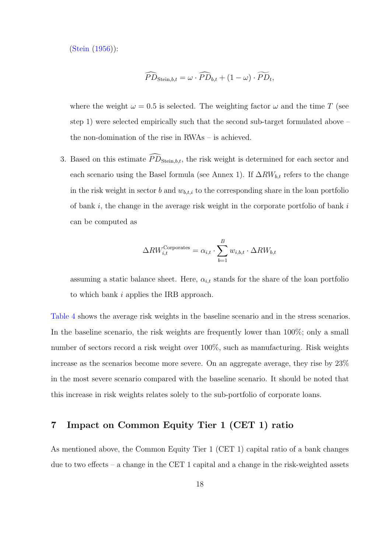[\(Stein](#page-25-8) [\(1956\)](#page-25-8)):

$$
\widehat{PD}_{\text{Stein},b,t} = \omega \cdot \widehat{PD}_{b,t} + (1 - \omega) \cdot \widetilde{PD}_t,
$$

where the weight  $\omega = 0.5$  is selected. The weighting factor  $\omega$  and the time T (see step 1) were selected empirically such that the second sub-target formulated above – the non-domination of the rise in RWAs – is achieved.

3. Based on this estimate  $\widehat{PD}_{Stein,b,t}$ , the risk weight is determined for each sector and each scenario using the Basel formula (see Annex 1). If  $\Delta RW_{b,t}$  refers to the change in the risk weight in sector b and  $w_{b,t,i}$  to the corresponding share in the loan portfolio of bank i, the change in the average risk weight in the corporate portfolio of bank  $i$ can be computed as

$$
\Delta RW_{i,t}^{\text{Corporates}} = \alpha_{i,t} \cdot \sum_{b=1}^{B} w_{i,b,t} \cdot \Delta RW_{b,t}
$$

assuming a static balance sheet. Here,  $\alpha_{i,t}$  stands for the share of the loan portfolio to which bank i applies the IRB approach.

[Table 4](#page-50-0) shows the average risk weights in the baseline scenario and in the stress scenarios. In the baseline scenario, the risk weights are frequently lower than 100%; only a small number of sectors record a risk weight over 100%, such as manufacturing. Risk weights increase as the scenarios become more severe. On an aggregate average, they rise by 23% in the most severe scenario compared with the baseline scenario. It should be noted that this increase in risk weights relates solely to the sub-portfolio of corporate loans.

## <span id="page-22-0"></span>7 Impact on Common Equity Tier 1 (CET 1) ratio

As mentioned above, the Common Equity Tier 1 (CET 1) capital ratio of a bank changes due to two effects – a change in the CET 1 capital and a change in the risk-weighted assets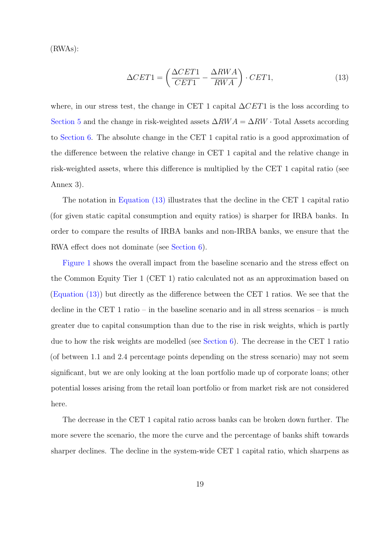(RWAs):

<span id="page-23-0"></span>
$$
\Delta CET1 = \left(\frac{\Delta CET1}{CET1} - \frac{\Delta RWA}{RWA}\right) \cdot CET1,\tag{13}
$$

where, in our stress test, the change in CET 1 capital  $\Delta CET1$  is the loss according to [Section 5](#page-19-0) and the change in risk-weighted assets  $\Delta RWA = \Delta RW \cdot \text{Total Assets according}$ to [Section 6.](#page-20-0) The absolute change in the CET 1 capital ratio is a good approximation of the difference between the relative change in CET 1 capital and the relative change in risk-weighted assets, where this difference is multiplied by the CET 1 capital ratio (see Annex 3).

The notation in [Equation \(13\)](#page-23-0) illustrates that the decline in the CET 1 capital ratio (for given static capital consumption and equity ratios) is sharper for IRBA banks. In order to compare the results of IRBA banks and non-IRBA banks, we ensure that the RWA effect does not dominate (see [Section 6\)](#page-20-0).

[Figure 1](#page-26-0) shows the overall impact from the baseline scenario and the stress effect on the Common Equity Tier 1 (CET 1) ratio calculated not as an approximation based on [\(Equation \(13\)\)](#page-23-0) but directly as the difference between the CET 1 ratios. We see that the decline in the CET 1 ratio – in the baseline scenario and in all stress scenarios – is much greater due to capital consumption than due to the rise in risk weights, which is partly due to how the risk weights are modelled (see [Section 6\)](#page-20-0). The decrease in the CET 1 ratio (of between 1.1 and 2.4 percentage points depending on the stress scenario) may not seem significant, but we are only looking at the loan portfolio made up of corporate loans; other potential losses arising from the retail loan portfolio or from market risk are not considered here.

The decrease in the CET 1 capital ratio across banks can be broken down further. The more severe the scenario, the more the curve and the percentage of banks shift towards sharper declines. The decline in the system-wide CET 1 capital ratio, which sharpens as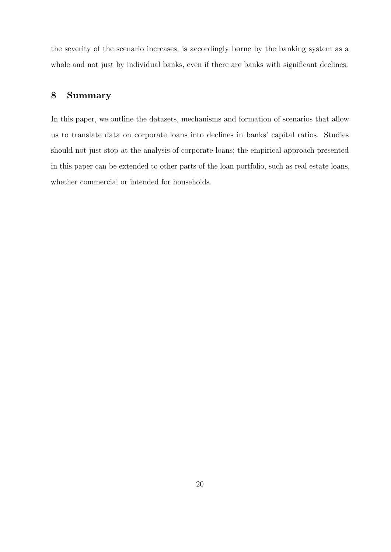the severity of the scenario increases, is accordingly borne by the banking system as a whole and not just by individual banks, even if there are banks with significant declines.

## <span id="page-24-0"></span>8 Summary

In this paper, we outline the datasets, mechanisms and formation of scenarios that allow us to translate data on corporate loans into declines in banks' capital ratios. Studies should not just stop at the analysis of corporate loans; the empirical approach presented in this paper can be extended to other parts of the loan portfolio, such as real estate loans, whether commercial or intended for households.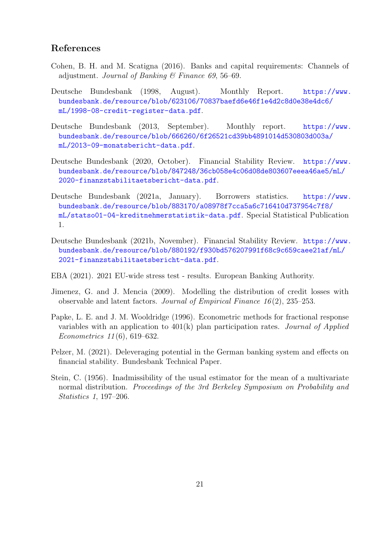## <span id="page-25-13"></span><span id="page-25-12"></span><span id="page-25-11"></span>References

- <span id="page-25-9"></span>Cohen, B. H. and M. Scatigna (2016). Banks and capital requirements: Channels of adjustment. Journal of Banking & Finance 69, 56–69.
- <span id="page-25-10"></span>Deutsche Bundesbank (1998, August). Monthly Report. [https://www.](https://www.bundesbank.de/resource/blob/623106/70837baefd6e46f1e4d2c8d0e38e4dc6/mL/1998-08-credit-register-data.pdf) [bundesbank.de/resource/blob/623106/70837baefd6e46f1e4d2c8d0e38e4dc6/](https://www.bundesbank.de/resource/blob/623106/70837baefd6e46f1e4d2c8d0e38e4dc6/mL/1998-08-credit-register-data.pdf) [mL/1998-08-credit-register-data.pdf](https://www.bundesbank.de/resource/blob/623106/70837baefd6e46f1e4d2c8d0e38e4dc6/mL/1998-08-credit-register-data.pdf).
- <span id="page-25-3"></span>Deutsche Bundesbank (2013, September). Monthly report. [https://www.](https://www.bundesbank.de/resource/blob/666260/6f26521cd39bb4891014d530803d003a/mL/2013-09-monatsbericht-data.pdf) [bundesbank.de/resource/blob/666260/6f26521cd39bb4891014d530803d003a/](https://www.bundesbank.de/resource/blob/666260/6f26521cd39bb4891014d530803d003a/mL/2013-09-monatsbericht-data.pdf) [mL/2013-09-monatsbericht-data.pdf](https://www.bundesbank.de/resource/blob/666260/6f26521cd39bb4891014d530803d003a/mL/2013-09-monatsbericht-data.pdf).
- <span id="page-25-1"></span>Deutsche Bundesbank (2020, October). Financial Stability Review. [https://www.](https://www.bundesbank.de/resource/blob/847248/36cb058e4c06d08de803607eeea46ae5/mL/2020-finanzstabilitaetsbericht-data.pdf) [bundesbank.de/resource/blob/847248/36cb058e4c06d08de803607eeea46ae5/mL/](https://www.bundesbank.de/resource/blob/847248/36cb058e4c06d08de803607eeea46ae5/mL/2020-finanzstabilitaetsbericht-data.pdf) [2020-finanzstabilitaetsbericht-data.pdf](https://www.bundesbank.de/resource/blob/847248/36cb058e4c06d08de803607eeea46ae5/mL/2020-finanzstabilitaetsbericht-data.pdf).
- <span id="page-25-2"></span>Deutsche Bundesbank (2021a, January). Borrowers statistics. [https://www.](https://www.bundesbank.de/resource/blob/883170/a08978f7cca5a6c716410d737954c7f8/mL/statso01-04-kreditnehmerstatistik-data.pdf) [bundesbank.de/resource/blob/883170/a08978f7cca5a6c716410d737954c7f8/](https://www.bundesbank.de/resource/blob/883170/a08978f7cca5a6c716410d737954c7f8/mL/statso01-04-kreditnehmerstatistik-data.pdf) [mL/statso01-04-kreditnehmerstatistik-data.pdf](https://www.bundesbank.de/resource/blob/883170/a08978f7cca5a6c716410d737954c7f8/mL/statso01-04-kreditnehmerstatistik-data.pdf). Special Statistical Publication 1.
- <span id="page-25-0"></span>Deutsche Bundesbank (2021b, November). Financial Stability Review. [https://www.](https://www.bundesbank.de/resource/blob/880192/f930bd576207991f68c9c659caee21af/mL/2021-finanzstabilitaetsbericht-data.pdf) [bundesbank.de/resource/blob/880192/f930bd576207991f68c9c659caee21af/mL/](https://www.bundesbank.de/resource/blob/880192/f930bd576207991f68c9c659caee21af/mL/2021-finanzstabilitaetsbericht-data.pdf) [2021-finanzstabilitaetsbericht-data.pdf](https://www.bundesbank.de/resource/blob/880192/f930bd576207991f68c9c659caee21af/mL/2021-finanzstabilitaetsbericht-data.pdf).
- <span id="page-25-7"></span>EBA (2021). 2021 EU-wide stress test - results. European Banking Authority.
- <span id="page-25-5"></span>Jimenez, G. and J. Mencia (2009). Modelling the distribution of credit losses with observable and latent factors. Journal of Empirical Finance  $16(2)$ ,  $235-253$ .
- <span id="page-25-6"></span>Papke, L. E. and J. M. Wooldridge (1996). Econometric methods for fractional response variables with an application to  $401(k)$  plan participation rates. *Journal of Applied* Econometrics 11 (6), 619–632.
- <span id="page-25-4"></span>Pelzer, M. (2021). Deleveraging potential in the German banking system and effects on financial stability. Bundesbank Technical Paper.
- <span id="page-25-8"></span>Stein, C. (1956). Inadmissibility of the usual estimator for the mean of a multivariate normal distribution. Proceedings of the 3rd Berkeley Symposium on Probability and Statistics 1, 197–206.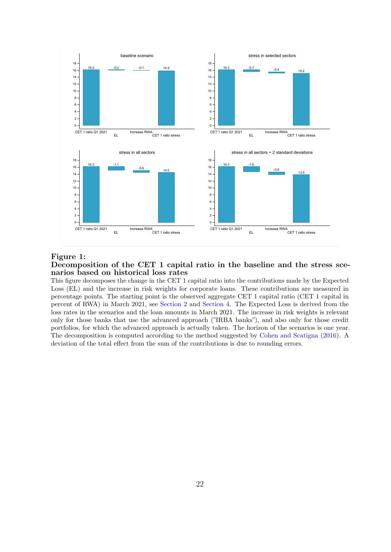<span id="page-26-0"></span>

#### Figure 1:

#### Decomposition of the CET 1 capital ratio in the baseline and the stress scenarios based on historical loss rates

This figure decomposes the change in the CET 1 capital ratio into the contributions made by the Expected Loss (EL) and the increase in risk weights for corporate loans. These contributions are measured in percentage points. The starting point is the observed aggregate CET 1 capital ratio (CET 1 capital in percent of RWA) in March 2021, see [Section 2](#page-8-0) and [Section 4.](#page-18-0) The Expected Loss is derived from the loss rates in the scenarios and the loan amounts in March 2021. The increase in risk weights is relevant only for those banks that use the advanced approach ("IRBA banks"), and also only for those credit portfolios, for which the advanced approach is actually taken. The horizon of the scenarios is one year. The decomposition is computed according to the method suggested by [Cohen and Scatigna](#page-25-9) [\(2016\)](#page-25-9). A deviation of the total effect from the sum of the contributions is due to rounding errors.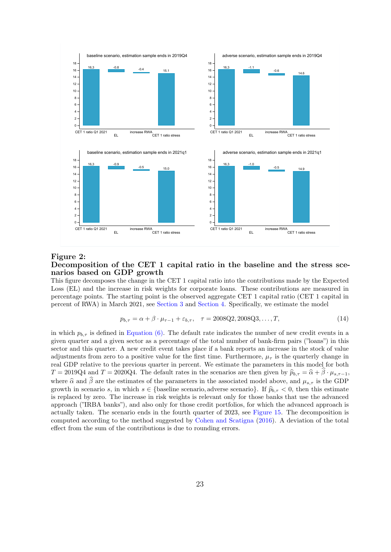

#### Figure 2: Decomposition of the CET 1 capital ratio in the baseline and the stress scenarios based on GDP growth

This figure decomposes the change in the CET 1 capital ratio into the contributions made by the Expected Loss (EL) and the increase in risk weights for corporate loans. These contributions are measured in percentage points. The starting point is the observed aggregate CET 1 capital ratio (CET 1 capital in percent of RWA) in March 2021, see [Section 3](#page-15-0) and [Section 4.](#page-18-0) Specifically, we estimate the model

$$
p_{b,\tau} = \alpha + \beta \cdot \mu_{\tau-1} + \varepsilon_{b,\tau}, \quad \tau = 2008Q2, 2008Q3, \dots, T,
$$
\n(14)

in which  $p_{b,\tau}$  is defined in [Equation \(6\).](#page-12-0) The default rate indicates the number of new credit events in a given quarter and a given sector as a percentage of the total number of bank-firm pairs ("loans") in this sector and this quarter. A new credit event takes place if a bank reports an increase in the stock of value adjustments from zero to a positive value for the first time. Furthermore,  $\mu_{\tau}$  is the quarterly change in real GDP relative to the previous quarter in percent. We estimate the parameters in this model for both  $T = 2019Q4$  and  $T = 2020Q4$ . The default rates in the scenarios are then given by  $\hat{p}_{b,\tau} = \hat{\alpha} + \hat{\beta} \cdot \mu_{s,\tau-1}$ , where  $\hat{\alpha}$  and  $\hat{\beta}$  are the estimates of the parameters in the associated model above, and  $\mu_{s,\tau}$  is the GDP growth in scenario s, in which  $s \in \{\text{baseline scenario}, \text{adverse scenario}\}\.$  If  $\hat{p}_{b,\tau} < 0$ , then this estimate is replaced by zero. The increase in risk weights is relevant only for those banks that use the advanced approach ("IRBA banks"), and also only for those credit portfolios, for which the advanced approach is actually taken. The scenario ends in the fourth quarter of 2023, see [Figure 15.](#page-40-0) The decomposition is computed according to the method suggested by [Cohen and Scatigna](#page-25-9) [\(2016\)](#page-25-9). A deviation of the total effect from the sum of the contributions is due to rounding errors.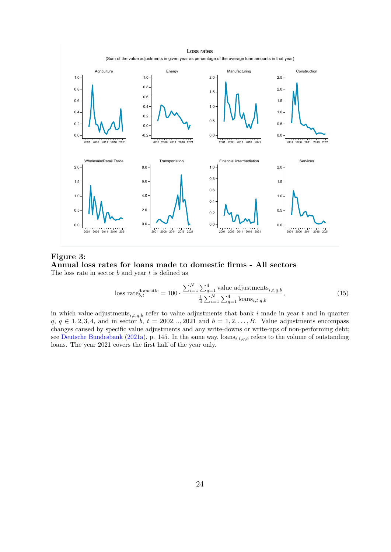



Figure 3: Annual loss rates for loans made to domestic firms - All sectors The loss rate in sector  $b$  and year  $t$  is defined as

<span id="page-28-1"></span><span id="page-28-0"></span>loss rate<sub>b,t</sub><sup>domestic</sup> = 100 · 
$$
\frac{\sum_{i=1}^{N} \sum_{q=1}^{4} \text{value adjustments}_{i,t,q,b}}{\frac{1}{4} \sum_{i=1}^{N} \sum_{q=1}^{4} \text{loans}_{i,t,q,b}},
$$
(15)

in which value adjustments  $i_{i,t,q,b}$  refer to value adjustments that bank i made in year t and in quarter  $q, q \in 1, 2, 3, 4$ , and in sector  $b, t = 2002, \ldots, 2021$  and  $b = 1, 2, \ldots, B$ . Value adjustments encompass changes caused by specific value adjustments and any write-downs or write-ups of non-performing debt; see [Deutsche Bundesbank](#page-25-2) [\(2021a\)](#page-25-2), p. 145. In the same way,  $\text{loans}_{i,t,q,b}$  refers to the volume of outstanding loans. The year 2021 covers the first half of the year only.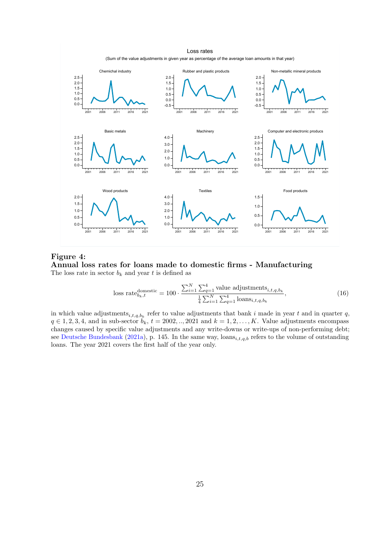



Figure 4: Annual loss rates for loans made to domestic firms - Manufacturing The loss rate in sector  $b_k$  and year t is defined as

<span id="page-29-0"></span>loss rate<sup>domestic</sup><sub>b<sub>k</sub>, t</sub> = 100 · 
$$
\frac{\sum_{i=1}^{N} \sum_{q=1}^{4} \text{value adjustments}_{i, t, q, b_k}}{\frac{1}{4} \sum_{i=1}^{N} \sum_{q=1}^{4} \text{loans}_{i, t, q, b_k}},
$$
 (16)

in which value adjustments<sub>i,t,q,bk</sub> refer to value adjustments that bank i made in year t and in quarter q,  $q \in 1, 2, 3, 4$ , and in sub-sector  $b_k$ ,  $t = 2002, \ldots, 2021$  and  $k = 1, 2, \ldots, K$ . Value adjustments encompass changes caused by specific value adjustments and any write-downs or write-ups of non-performing debt; see [Deutsche Bundesbank](#page-25-2) [\(2021a\)](#page-25-2), p. 145. In the same way,  $\text{loans}_{i,t,q,b}$  refers to the volume of outstanding loans. The year 2021 covers the first half of the year only.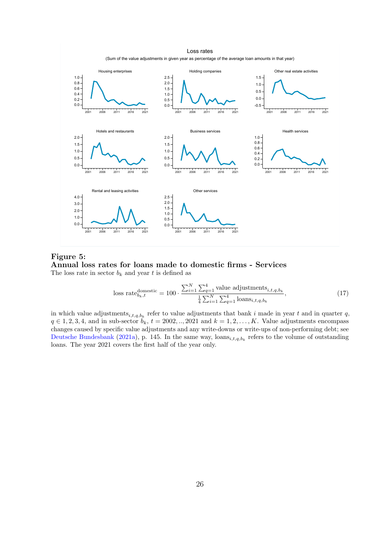



Figure 5: Annual loss rates for loans made to domestic firms - Services The loss rate in sector  $b_k$  and year t is defined as

<span id="page-30-1"></span><span id="page-30-0"></span>loss rate<sup>domestic</sup><sub>b<sub>k</sub>, t</sub> = 100 · 
$$
\frac{\sum_{i=1}^{N} \sum_{q=1}^{4} \text{value adjustments}_{i, t, q, b_k}}{\frac{1}{4} \sum_{i=1}^{N} \sum_{q=1}^{4} \text{loans}_{i, t, q, b_k}},
$$
 (17)

in which value adjustments<sub>i,t,q,bk</sub> refer to value adjustments that bank i made in year t and in quarter q,  $q \in 1, 2, 3, 4$ , and in sub-sector  $b_k$ ,  $t = 2002, \ldots, 2021$  and  $k = 1, 2, \ldots, K$ . Value adjustments encompass changes caused by specific value adjustments and any write-downs or write-ups of non-performing debt; see [Deutsche Bundesbank](#page-25-2) [\(2021a\)](#page-25-2), p. 145. In the same way,  $\text{loans}_{i,t,q,b_k}$  refers to the volume of outstanding loans. The year 2021 covers the first half of the year only.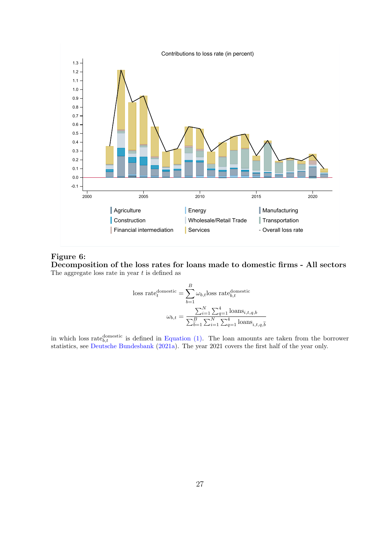<span id="page-31-0"></span>

## Figure 6:

Decomposition of the loss rates for loans made to domestic firms - All sectors The aggregate loss rate in year  $t$  is defined as

loss rate<sup>domestic</sup><sub>t</sub> = 
$$
\sum_{b=1}^{B} \omega_{b,t} \text{loss rate}_{b,t}^{\text{domestic}}
$$

$$
\omega_{b,t} = \frac{\sum_{i=1}^{N} \sum_{q=1}^{4} \text{loans}_{i,t,q,b}}{\sum_{b=1}^{B} \sum_{i=1}^{N} \sum_{q=1}^{4} \text{loans}_{i,t,q,b}}
$$

in which loss rate  $b_{t,t}$  is defined in [Equation \(1\).](#page-9-3) The loan amounts are taken from the borrower statistics, see [Deutsche Bundesbank](#page-25-2) [\(2021a\)](#page-25-2). The year 2021 covers the first half of the year only.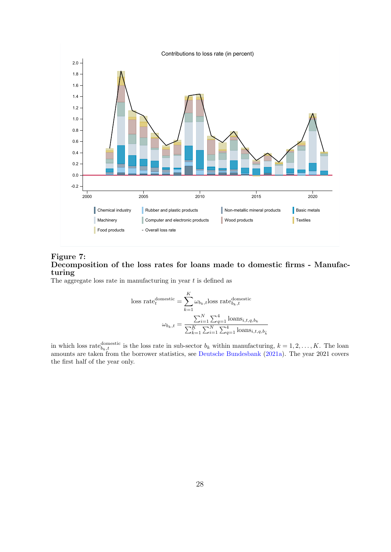<span id="page-32-0"></span>

### Figure 7: Decomposition of the loss rates for loans made to domestic firms - Manufacturing

The aggregate loss rate in manufacturing in year  $t$  is defined as

loss rate<sup>domestic</sup><sub>t</sub> = 
$$
\sum_{k=1}^{K} \omega_{b_k, t} \text{loss rate}_{b_k, t}^{\text{domestic}}
$$

$$
\omega_{b_k, t} = \frac{\sum_{i=1}^{N} \sum_{q=1}^{4} \text{loans}_{i, t, q, b_k}}{\sum_{k=1}^{K} \sum_{i=1}^{N} \sum_{q=1}^{4} \text{loans}_{i, t, q, b_k}}
$$

in which loss rate<sup>domestic</sup> is the loss rate in sub-sector  $b_k$  within manufacturing,  $k = 1, 2, ..., K$ . The loan amounts are taken from the borrower statistics, see [Deutsche Bundesbank](#page-25-2) [\(2021a\)](#page-25-2). The year 2021 covers the first half of the year only.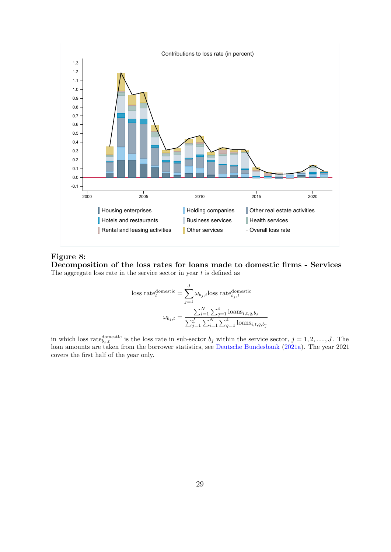<span id="page-33-0"></span>

#### Figure 8:

Decomposition of the loss rates for loans made to domestic firms - Services The aggregate loss rate in the service sector in year  $t$  is defined as

loss rate<sub>t</sub><sup>domestic</sup> = 
$$
\sum_{j=1}^{J} \omega_{b_j,t}
$$
loss rate<sub>b<sub>j,t</sub></sub><sup>domestic</sup>  

$$
\omega_{b_j,t} = \frac{\sum_{i=1}^{N} \sum_{q=1}^{4} \text{loans}_{i,t,q,b_j}}{\sum_{j=1}^{J} \sum_{i=1}^{N} \sum_{q=1}^{4} \text{loans}_{i,t,q,b_j}}
$$

in which loss rate<sup>domestic</sup> is the loss rate in sub-sector  $b_j$  within the service sector,  $j = 1, 2, \ldots, J$ . The loan amounts are taken from the borrower statistics, see [Deutsche Bundesbank](#page-25-2) [\(2021a\)](#page-25-2). The year 2021 covers the first half of the year only.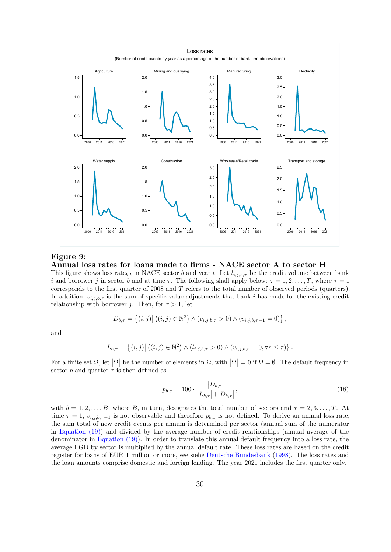(Number of credit events by year as a percentage of the number of bank-firm observations) Loss rates



#### Figure 9:

#### Annual loss rates for loans made to firms - NACE sector A to sector H

This figure shows loss rate<sub>b,t</sub> in NACE sector b and year t. Let  $l_{i,j,b,\tau}$  be the credit volume between bank i and borrower j in sector b and at time  $\tau$ . The following shall apply below:  $\tau = 1, 2, \ldots, T$ , where  $\tau = 1$ corresponds to the first quarter of 2008 and T refers to the total number of observed periods (quarters). In addition,  $v_{i,j,b,\tau}$  is the sum of specific value adjustments that bank i has made for the existing credit relationship with borrower j. Then, for  $\tau > 1$ , let

$$
D_{b,\tau} = \{(i,j) | ((i,j) \in \mathbb{N}^2) \land (v_{i,j,b,\tau} > 0) \land (v_{i,j,b,\tau-1} = 0) \},
$$

and

$$
L_{b,\tau} = \left\{ (i,j) \middle| \left( (i,j) \in \mathbb{N}^2 \right) \wedge \left( l_{i,j,b,\tau} > 0 \right) \wedge \left( v_{i,j,b,\tau} = 0, \forall \tau \leq \tau \right) \right\}.
$$

For a finite set  $\Omega$ , let  $|\Omega|$  be the number of elements in  $\Omega$ , with  $|\Omega| = 0$  if  $\Omega = \emptyset$ . The default frequency in sector b and quarter  $\tau$  is then defined as

<span id="page-34-1"></span><span id="page-34-0"></span>
$$
p_{b,\tau} = 100 \cdot \frac{|D_{b,\tau}|}{|L_{b,\tau}| + |D_{b,\tau}|},\tag{18}
$$

with  $b = 1, 2, \ldots, B$ , where B, in turn, designates the total number of sectors and  $\tau = 2, 3, \ldots, T$ . At time  $\tau = 1$ ,  $v_{i,j,b,\tau-1}$  is not observable and therefore  $p_{b,1}$  is not defined. To derive an annual loss rate, the sum total of new credit events per annum is determined per sector (annual sum of the numerator in [Equation \(19\)\)](#page-35-0) and divided by the average number of credit relationships (annual average of the denominator in [Equation \(19\)\)](#page-35-0). In order to translate this annual default frequency into a loss rate, the average LGD by sector is multiplied by the annual default rate. These loss rates are based on the credit register for loans of EUR 1 million or more, see siehe [Deutsche Bundesbank](#page-25-10) [\(1998\)](#page-25-10). The loss rates and the loan amounts comprise domestic and foreign lending. The year 2021 includes the first quarter only.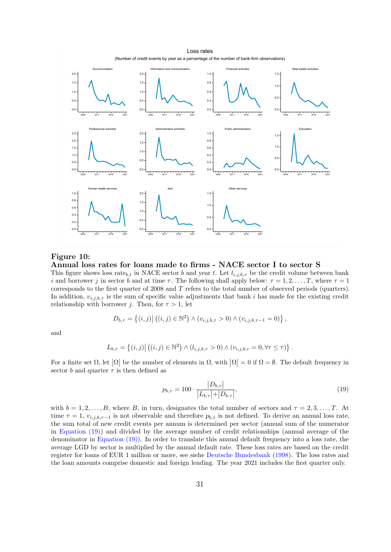(Number of credit events by year as a percentage of the number of bank-firm observations) Loss rates



Figure 10:

#### Annual loss rates for loans made to firms - NACE sector I to sector S

This figure shows loss rate<sub>b,t</sub> in NACE sector b and year t. Let  $l_{i,j,b,\tau}$  be the credit volume between bank i and borrower j in sector b and at time  $\tau$ . The following shall apply below:  $\tau = 1, 2, \ldots, T$ , where  $\tau = 1$ corresponds to the first quarter of 2008 and T refers to the total number of observed periods (quarters). In addition,  $v_{i,j,b,\tau}$  is the sum of specific value adjustments that bank i has made for the existing credit relationship with borrower j. Then, for  $\tau > 1$ , let

$$
D_{b,\tau} = \{(i,j) | ((i,j) \in \mathbb{N}^2) \land (v_{i,j,b,\tau} > 0) \land (v_{i,j,b,\tau-1} = 0) \},
$$

and

$$
L_{b,\tau} = \left\{ (i,j) \middle| \left( (i,j) \in \mathbb{N}^2 \right) \wedge \left( l_{i,j,b,\tau} > 0 \right) \wedge \left( v_{i,j,b,\tau} = 0, \forall \tau \leq \tau \right) \right\}.
$$

For a finite set  $\Omega$ , let  $|\Omega|$  be the number of elements in  $\Omega$ , with  $|\Omega| = 0$  if  $\Omega = \emptyset$ . The default frequency in sector b and quarter  $\tau$  is then defined as

<span id="page-35-1"></span><span id="page-35-0"></span>
$$
p_{b,\tau} = 100 \cdot \frac{|D_{b,\tau}|}{|L_{b,\tau}| + |D_{b,\tau}|},\tag{19}
$$

with  $b = 1, 2, \ldots, B$ , where B, in turn, designates the total number of sectors and  $\tau = 2, 3, \ldots, T$ . At time  $\tau = 1$ ,  $v_{i,j,b,\tau-1}$  is not observable and therefore  $p_{b,1}$  is not defined. To derive an annual loss rate, the sum total of new credit events per annum is determined per sector (annual sum of the numerator in [Equation \(19\)\)](#page-35-0) and divided by the average number of credit relationships (annual average of the denominator in [Equation \(19\)\)](#page-35-0). In order to translate this annual default frequency into a loss rate, the average LGD by sector is multiplied by the annual default rate. These loss rates are based on the credit register for loans of EUR 1 million or more, see siehe [Deutsche Bundesbank](#page-25-10) [\(1998\)](#page-25-10). The loss rates and the loan amounts comprise domestic and foreign lending. The year 2021 includes the first quarter only.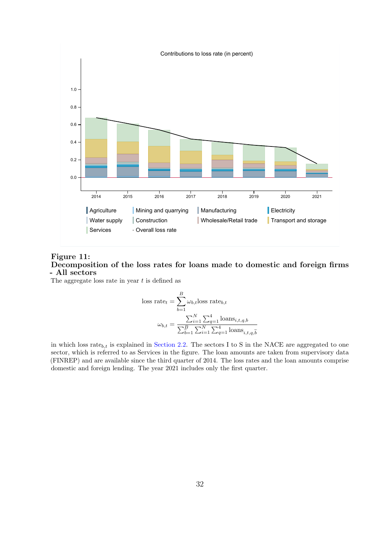<span id="page-36-0"></span>

#### Figure 11: Decomposition of the loss rates for loans made to domestic and foreign firms - All sectors

The aggregate loss rate in year  $t$  is defined as

loss rate<sub>t</sub> = 
$$
\sum_{b=1}^{B} \omega_{b,t}
$$
loss rate<sub>b,t</sub>  

$$
\omega_{b,t} = \frac{\sum_{i=1}^{N} \sum_{q=1}^{4} \text{loans}_{i,t,q,b}}{\sum_{b=1}^{B} \sum_{i=1}^{N} \sum_{q=1}^{4} \text{loans}_{i,t,q,b}}
$$

in which loss rate $_{b,t}$  is explained in [Section 2.2.](#page-11-0) The sectors I to S in the NACE are aggregated to one sector, which is referred to as Services in the figure. The loan amounts are taken from supervisory data (FINREP) and are available since the third quarter of 2014. The loss rates and the loan amounts comprise domestic and foreign lending. The year 2021 includes only the first quarter.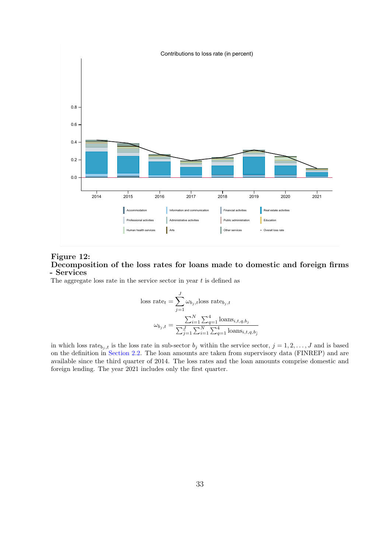<span id="page-37-0"></span>

#### Figure 12: Decomposition of the loss rates for loans made to domestic and foreign firms - Services

The aggregate loss rate in the service sector in year  $t$  is defined as

loss rate<sub>t</sub> = 
$$
\sum_{j=1}^{J} \omega_{b_j,t}
$$
loss rate<sub>b<sub>j</sub>,t</sub>  

$$
\omega_{b_j,t} = \frac{\sum_{i=1}^{N} \sum_{q=1}^{4} \text{loans}_{i,t,q,b_j}}{\sum_{j=1}^{J} \sum_{i=1}^{N} \sum_{q=1}^{4} \text{loans}_{i,t,q,b_j}}
$$

in which loss rate $b_{j,t}$  is the loss rate in sub-sector  $b_j$  within the service sector,  $j = 1, 2, ..., J$  and is based on the definition in [Section 2.2.](#page-11-0) The loan amounts are taken from supervisory data (FINREP) and are available since the third quarter of 2014. The loss rates and the loan amounts comprise domestic and foreign lending. The year 2021 includes only the first quarter.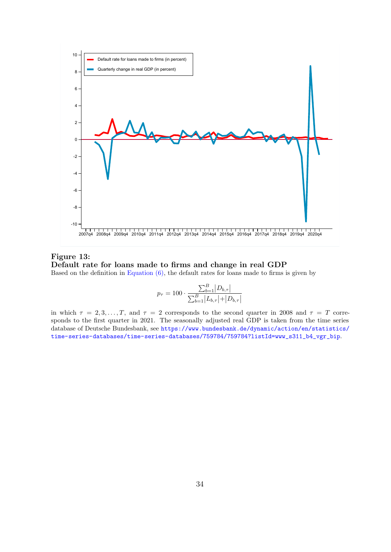<span id="page-38-0"></span>

Figure 13: Default rate for loans made to firms and change in real GDP Based on the definition in Equation  $(6)$ , the default rates for loans made to firms is given by

$$
p_{\tau} = 100 \cdot \frac{\sum_{b=1}^{B} |D_{b,\tau}|}{\sum_{b=1}^{B} |L_{b,\tau}| + |D_{b,\tau}|}
$$

in which  $\tau = 2, 3, ..., T$ , and  $\tau = 2$  corresponds to the second quarter in 2008 and  $\tau = T$  corresponds to the first quarter in 2021. The seasonally adjusted real GDP is taken from the time series database of Deutsche Bundesbank, see [https://www.bundesbank.de/dynamic/action/en/statistics/](https://www.bundesbank.de/dynamic/action/en/statistics/time-series-databases/time-series-databases/759784/759784?listId=www_s311_b4_vgr_bip) [time-series-databases/time-series-databases/759784/759784?listId=www\\_s311\\_b4\\_vgr\\_bip](https://www.bundesbank.de/dynamic/action/en/statistics/time-series-databases/time-series-databases/759784/759784?listId=www_s311_b4_vgr_bip).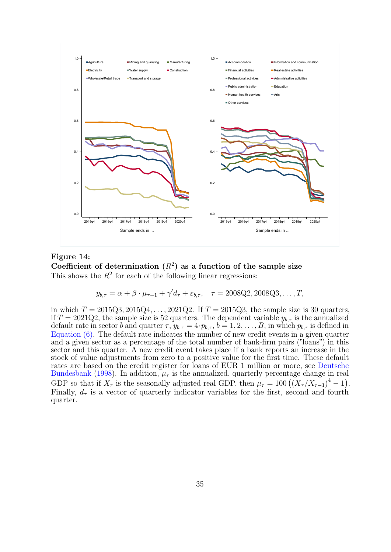<span id="page-39-0"></span>

Figure 14: Coefficient of determination  $(R^2)$  as a function of the sample size This shows the  $R^2$  for each of the following linear regressions:

$$
y_{b,\tau} = \alpha + \beta \cdot \mu_{\tau-1} + \gamma' d_{\tau} + \varepsilon_{b,\tau}, \quad \tau = 2008Q2, 2008Q3, ..., T,
$$

in which  $T = 2015Q3, 2015Q4, ..., 2021Q2$ . If  $T = 2015Q3$ , the sample size is 30 quarters, if  $T = 2021Q2$ , the sample size is 52 quarters. The dependent variable  $y_{b,\tau}$  is the annualized default rate in sector b and quarter  $\tau$ ,  $y_{b,\tau} = 4 \cdot p_{b,\tau}$ ,  $b = 1, 2, \ldots, B$ , in which  $p_{b,\tau}$  is defined in [Equation \(6\).](#page-12-0) The default rate indicates the number of new credit events in a given quarter and a given sector as a percentage of the total number of bank-firm pairs ("loans") in this sector and this quarter. A new credit event takes place if a bank reports an increase in the stock of value adjustments from zero to a positive value for the first time. These default rates are based on the credit register for loans of EUR 1 million or more, see [Deutsche](#page-25-10) [Bundesbank](#page-25-10) [\(1998\)](#page-25-10). In addition,  $\mu_{\tau}$  is the annualized, quarterly percentage change in real GDP so that if  $X_{\tau}$  is the seasonally adjusted real GDP, then  $\mu_{\tau} = 100 \left( \left( X_{\tau} / X_{\tau-1} \right)^4 - 1 \right)$ . Finally,  $d_{\tau}$  is a vector of quarterly indicator variables for the first, second and fourth quarter.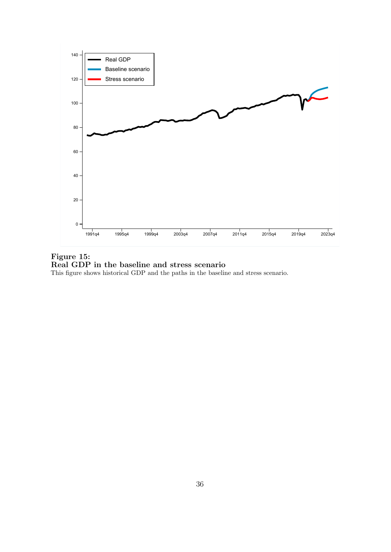<span id="page-40-1"></span><span id="page-40-0"></span>

Figure 15: Real GDP in the baseline and stress scenario This figure shows historical GDP and the paths in the baseline and stress scenario.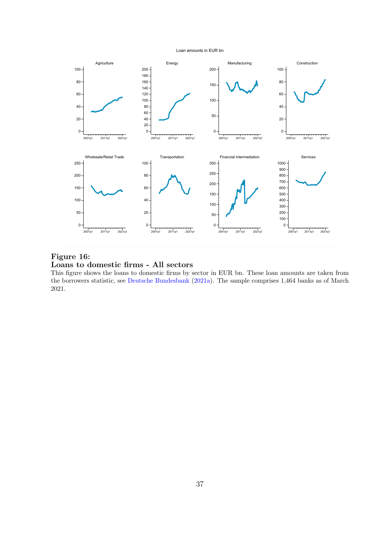

<span id="page-41-0"></span>

## Figure 16: Loans to domestic firms - All sectors

This figure shows the loans to domestic firms by sector in EUR bn. These loan amounts are taken from the borrowers statistic, see [Deutsche Bundesbank](#page-25-2) [\(2021a\)](#page-25-2). The sample comprises 1,464 banks as of March 2021.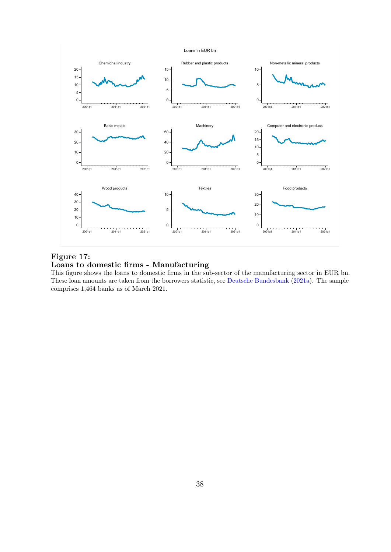Loans in EUR bn



Figure 17: Loans to domestic firms - Manufacturing

This figure shows the loans to domestic firms in the sub-sector of the manufacturing sector in EUR bn. These loan amounts are taken from the borrowers statistic, see [Deutsche Bundesbank](#page-25-2) [\(2021a\)](#page-25-2). The sample comprises 1,464 banks as of March 2021.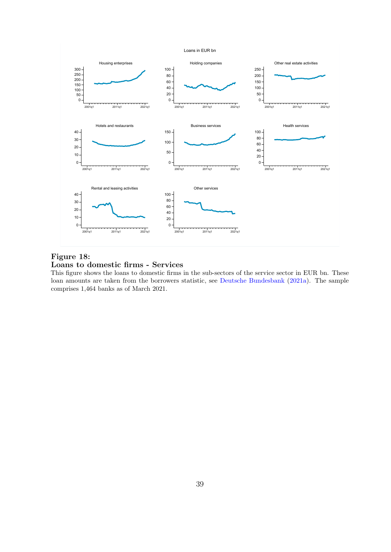Loans in EUR bn

<span id="page-43-0"></span>

Figure 18: Loans to domestic firms - Services

This figure shows the loans to domestic firms in the sub-sectors of the service sector in EUR bn. These loan amounts are taken from the borrowers statistic, see [Deutsche Bundesbank](#page-25-2) [\(2021a\)](#page-25-2). The sample comprises 1,464 banks as of March 2021.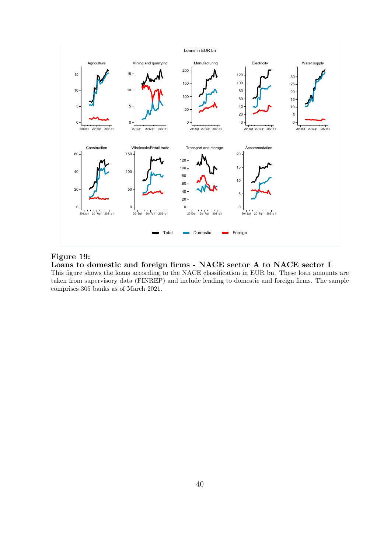#### Loans in EUR bn

<span id="page-44-0"></span>

#### Figure 19:

Loans to domestic and foreign firms - NACE sector A to NACE sector I

This figure shows the loans according to the NACE classification in EUR bn. These loan amounts are taken from supervisory data (FINREP) and include lending to domestic and foreign firms. The sample comprises 305 banks as of March 2021.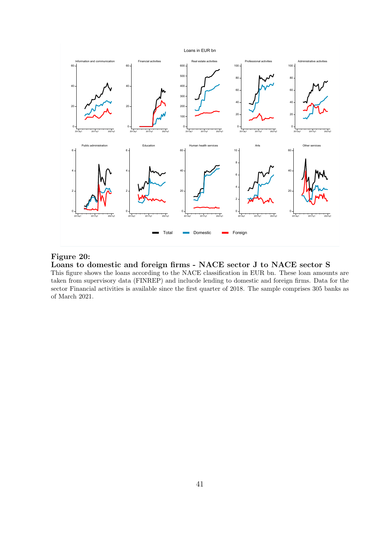<span id="page-45-0"></span>

#### Figure 20:

Loans to domestic and foreign firms - NACE sector J to NACE sector S

This figure shows the loans according to the NACE classification in EUR bn. These loan amounts are taken from supervisory data (FINREP) and inclucde lending to domestic and foreign firms. Data for the sector Financial activities is available since the first quarter of 2018. The sample comprises 305 banks as of March 2021.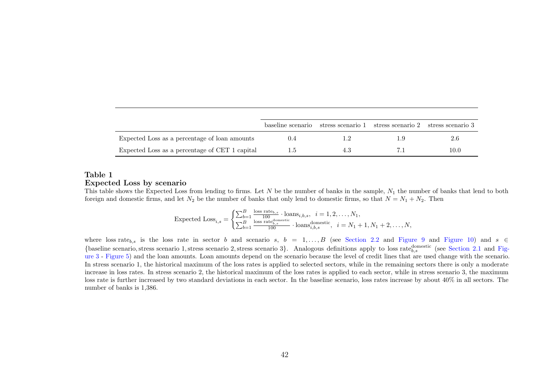<span id="page-46-0"></span>

|                                                |      | baseline scenario stress scenario 1 stress scenario 2 stress scenario 3 |      |
|------------------------------------------------|------|-------------------------------------------------------------------------|------|
| Expected Loss as a percentage of loan amounts  | l .2 |                                                                         | 2.6  |
| Expected Loss as a percentage of CET 1 capital |      |                                                                         | 10.0 |

#### Table 1Expected Loss by scenario

This table shows the Expected Loss from lending to firms. Let N be the number of banks in the sample,  $N_1$  the number of banks that lend to both foreign and domestic firms, and let  $N_2$  be the number of banks that only lend to domestic firms, so that  $N=N_1 +N_2$ . Then

Expected 
$$
\text{Loss}_{i,s} = \begin{cases} \sum_{b=1}^{B} \frac{\text{loss rate}_{b,s}}{100} \cdot \text{loans}_{i,b,s}, & i = 1, 2, \dots, N_1, \\ \sum_{b=1}^{B} \frac{\text{loss rate}_{b,s}^{\text{domestic}}}{100} \cdot \text{loans}_{i,b,s}^{\text{domestic}}, & i = N_1 + 1, N_1 + 2, \dots, N, \end{cases}
$$

where loss rate<sub>b,s</sub> is the loss rate in sector b and scenario s, b = 1, ..., B (see [Section](#page-11-1) 2.2 and [Figure](#page-35-1) 9 and Figure 10) and s ∈ {baseline scenario, stress scenario 1, stress scenario 2, stress scenario 3}. Analogous definitions apply to loss rate $_{b,s}^{\text{domestic}}$  (see [Section](#page-9-4) 2.1 and [Fig](#page-28-1)[ure](#page-28-1) 3 - [Figure](#page-30-1) 5) and the loan amounts. Loan amounts depend on the scenario because the level of credit lines that are used change with the scenario. In stress scenario 1, the historical maximum of the loss rates is applied to selected sectors, while in the remaining sectors there is only <sup>a</sup> moderate increase in loss rates. In stress scenario 2, the historical maximum of the loss rates is applied to each sector, while in stress scenario 3, the maximum loss rate is further increased by two standard deviations in each sector. In the baseline scenario, loss rates increase by about 40% in all sectors. Thenumber of banks is 1,386.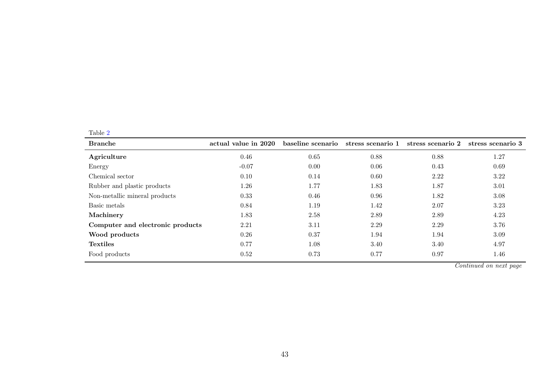|--|

| <b>Branche</b>                   | actual value in 2020 | baseline scenario | stress scenario 1 | stress scenario 2 | stress scenario 3 |
|----------------------------------|----------------------|-------------------|-------------------|-------------------|-------------------|
| Agriculture                      | 0.46                 | 0.65              | 0.88              | 0.88              | 1.27              |
| Energy                           | $-0.07$              | 0.00              | 0.06              | 0.43              | 0.69              |
| Chemical sector                  | 0.10                 | 0.14              | 0.60              | 2.22              | 3.22              |
| Rubber and plastic products      | 1.26                 | 1.77              | 1.83              | 1.87              | 3.01              |
| Non-metallic mineral products    | 0.33                 | 0.46              | 0.96              | 1.82              | 3.08              |
| Basic metals                     | 0.84                 | 1.19              | 1.42              | 2.07              | 3.23              |
| Machinery                        | 1.83                 | 2.58              | 2.89              | 2.89              | 4.23              |
| Computer and electronic products | 2.21                 | 3.11              | 2.29              | 2.29              | 3.76              |
| Wood products                    | 0.26                 | 0.37              | 1.94              | 1.94              | 3.09              |
| <b>Textiles</b>                  | 0.77                 | 1.08              | 3.40              | 3.40              | 4.97              |
| Food products                    | 0.52                 | 0.73              | 0.77              | 0.97              | 1.46              |

Continued on next page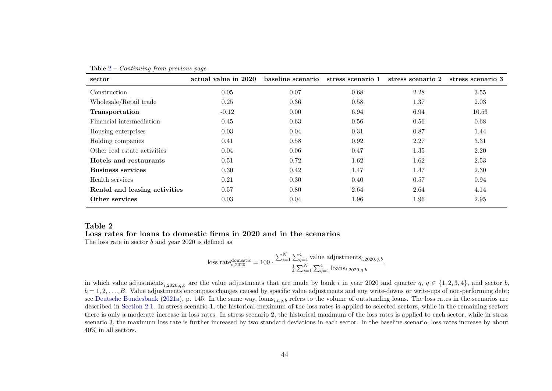| sector                        | actual value in 2020 | baseline scenario | stress scenario 1 | stress scenario 2 | stress scenario 3 |
|-------------------------------|----------------------|-------------------|-------------------|-------------------|-------------------|
| Construction                  | 0.05                 | 0.07              | 0.68              | 2.28              | 3.55              |
| Wholesale/Retail trade        | 0.25                 | 0.36              | 0.58              | 1.37              | 2.03              |
| Transportation                | $-0.12$              | 0.00              | 6.94              | 6.94              | 10.53             |
| Financial intermediation      | 0.45                 | 0.63              | 0.56              | 0.56              | 0.68              |
| Housing enterprises           | 0.03                 | 0.04              | 0.31              | 0.87              | 1.44              |
| Holding companies             | 0.41                 | 0.58              | 0.92              | 2.27              | 3.31              |
| Other real estate activities  | 0.04                 | 0.06              | 0.47              | 1.35              | 2.20              |
| Hotels and restaurants        | 0.51                 | 0.72              | 1.62              | 1.62              | 2.53              |
| <b>Business services</b>      | 0.30                 | 0.42              | 1.47              | 1.47              | 2.30              |
| Health services               | 0.21                 | 0.30              | 0.40              | 0.57              | 0.94              |
| Rental and leasing activities | 0.57                 | 0.80              | 2.64              | 2.64              | 4.14              |
| Other services                | 0.03                 | 0.04              | 1.96              | 1.96              | 2.95              |

<span id="page-48-1"></span>Table  $2$  – Continuing from previous page

#### Loss rates for loans to domestic firms in 2020 and in the scenarios

The loss rate in sector <sup>b</sup> and year <sup>2020</sup> is defined as

loss rate<sub>b,2020</sub><sup>domestic</sup> = 100 · 
$$
\frac{\sum_{i=1}^{N} \sum_{q=1}^{4} \text{value adjustments}_{i,2020,q,b}}{\frac{1}{4} \sum_{i=1}^{N} \sum_{q=1}^{4} \text{loans}_{i,2020,q,b}},
$$

<span id="page-48-0"></span>in which value adjustments<sub>i,2020,q,b</sub> are the value adjustments that are made by bank i in year 2020 and quarter  $q, q \in \{1, 2, 3, 4\}$ , and sector b,  $b = 1, 2, \ldots, B$ . Value adjustments encompass changes caused by specific value adjustments and any write-downs or write-ups of non-performing debt; see Deutsche [Bundesbank](#page-25-11) [\(2021a\)](#page-25-11), p. 145. In the same way, loans<sub>i,t,q,b</sub> refers to the volume of outstanding loans. The loss rates in the scenarios are described in [Section](#page-9-4) 2.1. In stress scenario 1, the historical maximum of the loss rates is applied to selected sectors, while in the remaining sectors there is only <sup>a</sup> moderate increase in loss rates. In stress scenario 2, the historical maximum of the loss rates is applied to each sector, while in stress scenario 3, the maximum loss rate is further increased by two standard deviations in each sector. In the baseline scenario, loss rates increase by about40% in all sectors.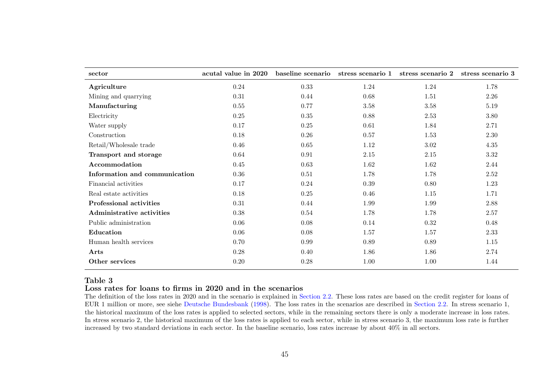| sector                        | acutal value in 2020 | baseline scenario | stress scenario 1 | stress scenario 2 | stress scenario 3 |
|-------------------------------|----------------------|-------------------|-------------------|-------------------|-------------------|
| Agriculture                   | 0.24                 | 0.33              | 1.24              | 1.24              | 1.78              |
| Mining and quarrying          | 0.31                 | 0.44              | 0.68              | 1.51              | 2.26              |
| Manufacturing                 | $0.55\,$             | 0.77              | 3.58              | 3.58              | 5.19              |
| Electricity                   | 0.25                 | $0.35\,$          | 0.88              | 2.53              | 3.80              |
| Water supply                  | 0.17                 | $0.25\,$          | 0.61              | 1.84              | 2.71              |
| Construction                  | $0.18\,$             | $0.26\,$          | $0.57\,$          | 1.53              | $2.30\,$          |
| Retail/Wholesale trade        | 0.46                 | 0.65              | 1.12              | 3.02              | 4.35              |
| Transport and storage         | 0.64                 | 0.91              | 2.15              | $2.15\,$          | $3.32\,$          |
| Accommodation                 | 0.45                 | 0.63              | 1.62              | 1.62              | 2.44              |
| Information and communication | 0.36                 | 0.51              | 1.78              | 1.78              | 2.52              |
| Financial activities          | 0.17                 | 0.24              | 0.39              | 0.80              | 1.23              |
| Real estate activities        | 0.18                 | 0.25              | 0.46              | 1.15              | 1.71              |
| Professional activities       | 0.31                 | 0.44              | 1.99              | 1.99              | 2.88              |
| Administrative activities     | $0.38\,$             | 0.54              | 1.78              | 1.78              | 2.57              |
| Public administration         | 0.06                 | 0.08              | 0.14              | 0.32              | 0.48              |
| Education                     | 0.06                 | 0.08              | 1.57              | 1.57              | 2.33              |
| Human health services         | 0.70                 | 0.99              | 0.89              | 0.89              | $1.15\,$          |
| Arts                          | 0.28                 | 0.40              | 1.86              | 1.86              | 2.74              |
| Other services                | 0.20                 | 0.28              | 1.00              | 1.00              | 1.44              |

#### Loss rates for loans to firms in 2020 and in the scenarios

<span id="page-49-0"></span> The definition of the loss rates in 2020 and in the scenario is explained in [Section](#page-11-1) 2.2. These loss rates are based on the credit register for loans of EUR 1 million or more, see siehe Deutsche [Bundesbank](#page-25-12) [\(1998\)](#page-25-12). The loss rates in the scenarios are described in [Section](#page-11-1) 2.2. In stress scenario 1, the historical maximum of the loss rates is applied to selected sectors, while in the remaining sectors there is only <sup>a</sup> moderate increase in loss rates.In stress scenario 2, the historical maximum of the loss rates is applied to each sector, while in stress scenario 3, the maximum loss rate is furtherincreased by two standard deviations in each sector. In the baseline scenario, loss rates increase by about 40% in all sectors.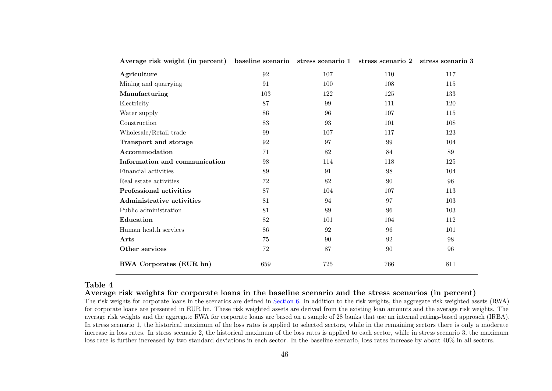| Average risk weight (in percent) | baseline scenario stress scenario 1 |     | stress scenario 2 | stress scenario 3 |
|----------------------------------|-------------------------------------|-----|-------------------|-------------------|
| Agriculture                      | 92                                  | 107 | 110               | 117               |
| Mining and quarrying             | 91                                  | 100 | 108               | 115               |
| Manufacturing                    | 103                                 | 122 | 125               | 133               |
| Electricity                      | 87                                  | 99  | 111               | 120               |
| Water supply                     | 86                                  | 96  | 107               | 115               |
| Construction                     | 83                                  | 93  | 101               | 108               |
| Wholesale/Retail trade           | 99                                  | 107 | 117               | 123               |
| Transport and storage            | 92                                  | 97  | 99                | 104               |
| Accommodation                    | 71                                  | 82  | 84                | 89                |
| Information and communication    | 98                                  | 114 | 118               | 125               |
| Financial activities             | 89                                  | 91  | 98                | 104               |
| Real estate activities           | 72                                  | 82  | 90                | 96                |
| Professional activities          | 87                                  | 104 | 107               | 113               |
| <b>Administrative activities</b> | 81                                  | 94  | 97                | 103               |
| Public administration            | 81                                  | 89  | 96                | 103               |
| Education                        | 82                                  | 101 | 104               | 112               |
| Human health services            | 86                                  | 92  | 96                | 101               |
| Arts                             | 75                                  | 90  | 92                | 98                |
| Other services                   | 72                                  | 87  | 90                | 96                |
| RWA Corporates (EUR bn)          | 659                                 | 725 | 766               | 811               |

Average risk weights for corporate loans in the baseline scenario and the stress scenarios (in percent)

<span id="page-50-0"></span> The risk weights for corporate loans in the scenarios are defined in [Section](#page-20-1) 6. In addition to the risk weights, the aggregate risk weighted assets (RWA) for corporate loans are presented in EUR bn. These risk weighted assets are derived from the existing loan amounts and the average risk weights. The average risk weights and the aggregate RWA for corporate loans are based on <sup>a</sup> sample of <sup>28</sup> banks that use an internal ratings-based approac<sup>h</sup> (IRBA). In stress scenario 1, the historical maximum of the loss rates is applied to selected sectors, while in the remaining sectors there is only <sup>a</sup> moderate increase in loss rates. In stress scenario 2, the historical maximum of the loss rates is applied to each sector, while in stress scenario 3, the maximumloss rate is further increased by two standard deviations in each sector. In the baseline scenario, loss rates increase by about 40% in all sectors.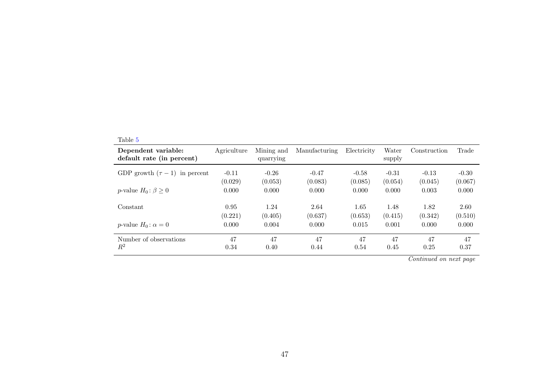|--|

| Dependent variable:<br>default rate (in percent) | Agriculture | Mining and<br>quarrying | Manufacturing | Electricity | Water<br>supply | Construction | Trade   |
|--------------------------------------------------|-------------|-------------------------|---------------|-------------|-----------------|--------------|---------|
| GDP growth $(\tau - 1)$ in percent               | $-0.11$     | $-0.26$                 | $-0.47$       | $-0.58$     | $-0.31$         | $-0.13$      | $-0.30$ |
|                                                  | (0.029)     | (0.053)                 | (0.083)       | (0.085)     | (0.054)         | (0.045)      | (0.067) |
| <i>p</i> -value $H_0: \beta \geq 0$              | 0.000       | 0.000                   | 0.000         | 0.000       | 0.000           | 0.003        | 0.000   |
| Constant                                         | 0.95        | 1.24                    | 2.64          | 1.65        | 1.48            | 1.82         | 2.60    |
|                                                  | (0.221)     | (0.405)                 | (0.637)       | (0.653)     | (0.415)         | (0.342)      | (0.510) |
| p-value $H_0$ : $\alpha = 0$                     | 0.000       | 0.004                   | 0.000         | 0.015       | 0.001           | 0.000        | 0.000   |
| Number of observations                           | 47          | 47                      | 47            | 47          | 47              | 47           | 47      |
| $\,R^2$                                          | 0.34        | 0.40                    | 0.44          | 0.54        | 0.45            | 0.25         | 0.37    |

Continued on next page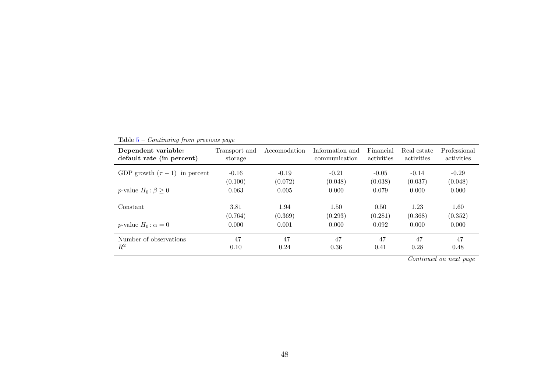| GDP growth $(\tau - 1)$ in percent<br>$-0.16$<br>$-0.21$<br>$-0.14$<br>$-0.19$<br>$-0.29$<br>$-0.05$<br>(0.100)<br>(0.072)<br>(0.037)<br>(0.048)<br>(0.048)<br>(0.038)<br>p-value $H_0: \beta \geq 0$<br>0.079<br>0.000<br>0.063<br>0.005<br>0.000<br>0.000<br>1.23<br>3.81<br>1.94<br>Constant<br>1.50<br>1.60<br>0.50<br>(0.764)<br>(0.369)<br>(0.293)<br>(0.281)<br>(0.368)<br>(0.352)<br>0.000<br>0.000<br>p-value $H_0$ : $\alpha = 0$<br>0.000<br>0.001<br>0.092<br>0.000<br>47<br>47<br>47<br>Number of observations<br>47<br>47<br>47 | Dependent variable:<br>default rate (in percent) | Transport and<br>storage | Accomodation | Information and<br>communication | Financial<br>activities | Real estate<br>activities | Professional<br>activities |
|-----------------------------------------------------------------------------------------------------------------------------------------------------------------------------------------------------------------------------------------------------------------------------------------------------------------------------------------------------------------------------------------------------------------------------------------------------------------------------------------------------------------------------------------------|--------------------------------------------------|--------------------------|--------------|----------------------------------|-------------------------|---------------------------|----------------------------|
|                                                                                                                                                                                                                                                                                                                                                                                                                                                                                                                                               |                                                  |                          |              |                                  |                         |                           |                            |
|                                                                                                                                                                                                                                                                                                                                                                                                                                                                                                                                               |                                                  |                          |              |                                  |                         |                           |                            |
|                                                                                                                                                                                                                                                                                                                                                                                                                                                                                                                                               |                                                  |                          |              |                                  |                         |                           |                            |
|                                                                                                                                                                                                                                                                                                                                                                                                                                                                                                                                               |                                                  |                          |              |                                  |                         |                           |                            |
|                                                                                                                                                                                                                                                                                                                                                                                                                                                                                                                                               |                                                  |                          |              |                                  |                         |                           |                            |
|                                                                                                                                                                                                                                                                                                                                                                                                                                                                                                                                               |                                                  |                          |              |                                  |                         |                           |                            |
|                                                                                                                                                                                                                                                                                                                                                                                                                                                                                                                                               |                                                  |                          |              |                                  |                         |                           |                            |
|                                                                                                                                                                                                                                                                                                                                                                                                                                                                                                                                               | $R^2$                                            | 0.10                     | 0.24         | 0.36                             | 0.41                    | 0.28                      | 0.48                       |

Table  $5$  – *Continuing from previous page* 

Continued on next page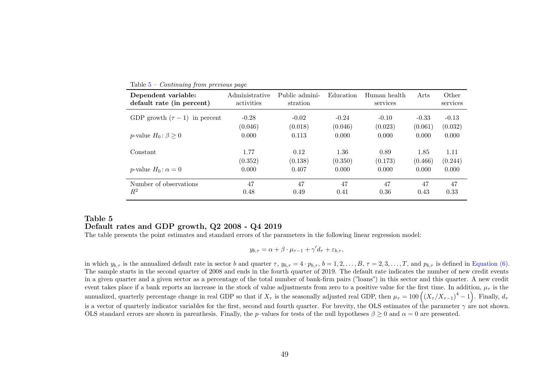| Dependent variable:<br>default rate (in percent) | Administrative<br>activities | Public admini-<br>stration | Education | Human health<br>services | Arts    | Other<br>services |
|--------------------------------------------------|------------------------------|----------------------------|-----------|--------------------------|---------|-------------------|
| GDP growth $(\tau - 1)$ in percent               | $-0.28$                      | $-0.02$                    | $-0.24$   | $-0.10$                  | $-0.33$ | $-0.13$           |
|                                                  | (0.046)                      | (0.018)                    | (0.046)   | (0.023)                  | (0.061) | (0.032)           |
| <i>p</i> -value $H_0: \beta \geq 0$              | 0.000                        | 0.113                      | 0.000     | 0.000                    | 0.000   | 0.000             |
| Constant                                         | 1.77                         | 0.12                       | 1.36      | 0.89                     | 1.85    | 1.11              |
|                                                  | (0.352)                      | (0.138)                    | (0.350)   | (0.173)                  | (0.466) | (0.244)           |
| <i>p</i> -value $H_0$ : $\alpha = 0$             | 0.000                        | 0.407                      | 0.000     | 0.000                    | 0.000   | 0.000             |
| Number of observations                           | 47                           | 47                         | 47        | 47                       | 47      | 47                |
| $R^2$                                            | 0.48                         | 0.49                       | 0.41      | 0.36                     | 0.43    | 0.33              |

<span id="page-53-1"></span>Table  $5$  – *Continuing from previous page* 

## Table 5Default rates and GDP growth, Q2 2008 - Q4 2019

The table presents the point estimates and standard errors of the parameters in the following linear regression model:

$$
y_{b,\tau} = \alpha + \beta \cdot \mu_{\tau-1} + \gamma' d_{\tau} + \varepsilon_{b,\tau},
$$

<span id="page-53-0"></span>in which  $y_{b,\tau}$  is the annualized default rate in sector b and quarter  $\tau$ ,  $y_{b,\tau} = 4 \cdot p_{b,\tau}$ ,  $b = 1, 2, \ldots, B$ ,  $\tau = 2, 3, \ldots, T$ , and  $p_{b,\tau}$  is defined in [Equation](#page-12-1) (6). The sample starts in the second quarter of 2008 and ends in the fourth quarter of 2019. The default rate indicates the number of new credit events in <sup>a</sup> <sup>g</sup>iven quarter and <sup>a</sup> <sup>g</sup>iven sector as <sup>a</sup> percentage of the total number of bank-firm pairs ("loans") in this sector and this quarter. A new creditevent takes place if a bank reports an increase in the stock of value adjustments from zero to a positive value for the first time. In addition,  $\mu_{\tau}$  is the annualized, quarterly percentage change in real GDP so that if  $X_{\tau}$  is the seasonally adjusted real GDP, then  $\mu_{\tau} = 100 \left( \left( X_{\tau} / X_{\tau-1} \right)^4 - 1 \right)$ . Finally,  $d_{\tau}$ is a vector of quarterly indicator variables for the first, second and fourth quarter. For brevity, the OLS estimates of the parameter  $\gamma$  are not shown. OLS standard errors are shown in parenthesis. Finally, the *p*–values for tests of the null hypotheses  $\beta \ge 0$  and  $\alpha = 0$  are presented.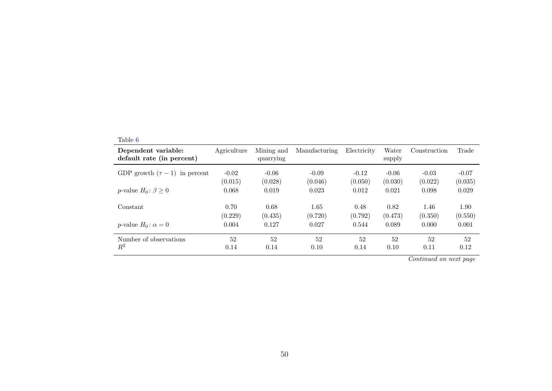| Dependent variable:<br>default rate (in percent) | Agriculture | Mining and<br>quarrying | Manufacturing | Electricity | Water<br>supply | Construction | Trade   |
|--------------------------------------------------|-------------|-------------------------|---------------|-------------|-----------------|--------------|---------|
| GDP growth $(\tau - 1)$ in percent               | $-0.02$     | $-0.06$                 | $-0.09$       | $-0.12$     | $-0.06$         | $-0.03$      | $-0.07$ |
|                                                  | (0.015)     | (0.028)                 | (0.046)       | (0.050)     | (0.030)         | (0.022)      | (0.035) |
| <i>p</i> -value $H_0: \beta \geq 0$              | 0.068       | 0.019                   | 0.023         | 0.012       | 0.021           | 0.098        | 0.029   |
| Constant                                         | 0.70        | 0.68                    | 1.65          | 0.48        | 0.82            | 1.46         | 1.90    |
|                                                  | (0.229)     | (0.435)                 | (0.720)       | (0.792)     | (0.473)         | (0.350)      | (0.550) |
| <i>p</i> -value $H_0$ : $\alpha = 0$             | 0.004       | 0.127                   | 0.027         | 0.544       | 0.089           | 0.000        | 0.001   |
| Number of observations                           | 52          | 52                      | 52            | 52          | 52              | 52           | 52      |
| $R^2$                                            | 0.14        | 0.14                    | 0.10          | 0.14        | 0.10            | 0.11         | 0.12    |

Continued on next page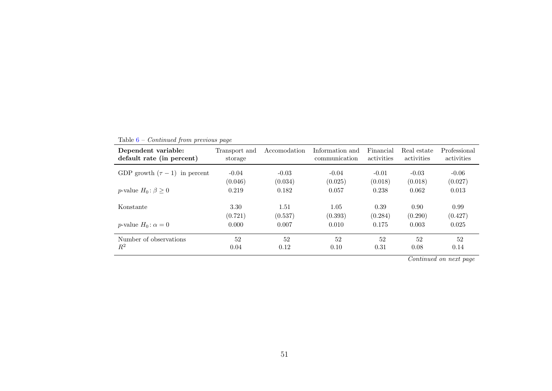| Dependent variable:<br>default rate (in percent) | Transport and<br>storage | Accomodation | Information and<br>communication | Financial<br>activities | Real estate<br>activities                   | Professional<br>activities |
|--------------------------------------------------|--------------------------|--------------|----------------------------------|-------------------------|---------------------------------------------|----------------------------|
| GDP growth $(\tau - 1)$ in percent               | $-0.04$                  | $-0.03$      | $-0.04$                          | $-0.01$                 | $-0.03$                                     | $-0.06$                    |
|                                                  | (0.046)                  | (0.034)      | (0.025)                          | (0.018)                 | (0.018)                                     | (0.027)                    |
| p-value $H_0: \beta \geq 0$                      | 0.219                    | 0.182        | 0.057                            | 0.238                   | 0.062                                       | 0.013                      |
| Konstante                                        | 3.30                     | 1.51         | 1.05                             | 0.39                    | 0.90                                        | 0.99                       |
|                                                  | (0.721)                  | (0.537)      | (0.393)                          | (0.284)                 | (0.290)                                     | (0.427)                    |
| p-value $H_0$ : $\alpha = 0$                     | 0.000                    | 0.007        | 0.010                            | 0.175                   | 0.003                                       | 0.025                      |
| Number of observations                           | 52                       | 52           | 52                               | 52                      | 52                                          | 52                         |
| $R^2$                                            | 0.04                     | 0.12         | 0.10                             | 0.31                    | 0.08<br>and the contract of the contract of | 0.14                       |

Table  $6$  – *Continued from previous page* 

Continued on next page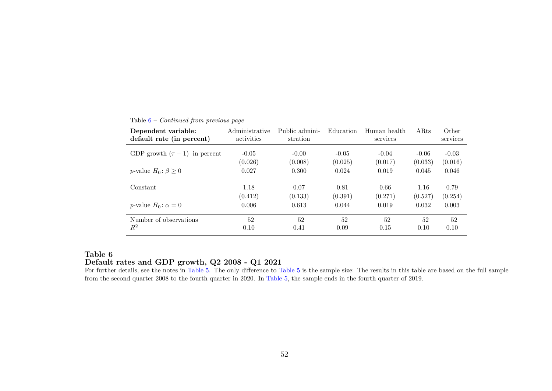| Dependent variable:<br>default rate (in percent) | Administrative<br>activities | Public admini-<br>stration | Education | Human health<br>services | ARts    | Other<br>services |
|--------------------------------------------------|------------------------------|----------------------------|-----------|--------------------------|---------|-------------------|
| GDP growth $(\tau - 1)$ in percent               | $-0.05$                      | $-0.00$                    | $-0.05$   | $-0.04$                  | $-0.06$ | $-0.03$           |
|                                                  | (0.026)                      | (0.008)                    | (0.025)   | (0.017)                  | (0.033) | (0.016)           |
| <i>p</i> -value $H_0: \beta \geq 0$              | 0.027                        | 0.300                      | 0.024     | 0.019                    | 0.045   | 0.046             |
| Constant                                         | 1.18                         | 0.07                       | 0.81      | 0.66                     | 1.16    | 0.79              |
|                                                  | (0.412)                      | (0.133)                    | (0.391)   | (0.271)                  | (0.527) | (0.254)           |
| <i>p</i> -value $H_0$ : $\alpha = 0$             | 0.006                        | 0.613                      | 0.044     | 0.019                    | 0.032   | 0.003             |
| Number of observations                           | 52                           | 52                         | 52        | 52                       | 52      | 52                |
| $R^2$                                            | 0.10                         | 0.41                       | 0.09      | 0.15                     | 0.10    | 0.10              |

<span id="page-56-1"></span>Table  $6$  – *Continued from previous page* 

## Table 6Default rates and GDP growth, Q2 2008 - Q1 2021

<span id="page-56-0"></span> For further details, see the notes in [Table](#page-53-1) 5. The only difference to [Table](#page-53-1) <sup>5</sup> is the sample size: The results in this table are based on the full sample from the second quarter 2008 to the fourth quarter in 2020. In [Table](#page-53-1) 5, the sample ends in the fourth quarter of 2019.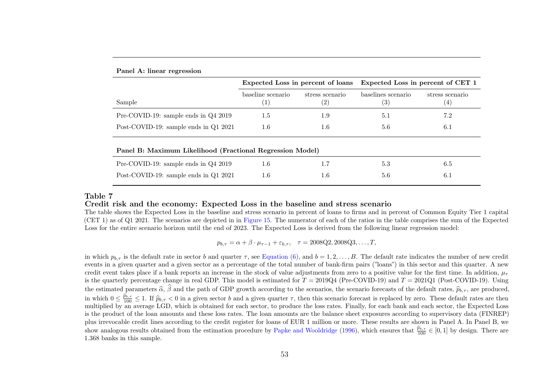|                                                           | Expected Loss in percent of loans      |                                      | Expected Loss in percent of CET 1 |                        |  |  |
|-----------------------------------------------------------|----------------------------------------|--------------------------------------|-----------------------------------|------------------------|--|--|
| Sample                                                    | baseline scenario<br>$\left( 1\right)$ | stress scenario<br>$\left( 2\right)$ | baselines scenario<br>(3)         | stress scenario<br>(4) |  |  |
| Pre-COVID-19: sample ends in $Q42019$                     | 1.5                                    | 1.9                                  | 5.1                               | 7.2                    |  |  |
| Post-COVID-19: sample ends in Q1 2021                     | $1.6\,$                                | 1.6                                  | 5.6                               | 6.1                    |  |  |
| Panel B: Maximum Likelihood (Fractional Regression Model) |                                        |                                      |                                   |                        |  |  |
| Pre-COVID-19: sample ends in Q4 2019                      | $1.6\,$                                | 1.7                                  | 5.3                               | 6.5                    |  |  |
| Post-COVID-19: sample ends in Q1 2021                     | $1.6\,$                                | 1.6                                  | 5.6                               | 6.1                    |  |  |

#### <span id="page-57-0"></span>Panel A: linear regression

#### Table 7

#### Credit risk and the economy: Expected Loss in the baseline and stress scenario

 The table shows the Expected Loss in the baseline and stress scenario in percent of loans to firms and in percent of Common Equity Tier 1 capital(CET 1) as of Q1 2021. The scenarios are depicted in in [Figure](#page-40-1) 15. The numerator of each of the ratios in the table comprises the sum of the Expected Loss for the entire scenario horizon until the end of 2023. The Expected Loss is derived from the following linear regression model:

$$
p_{b,\tau} = \alpha + \beta \cdot \mu_{\tau-1} + \varepsilon_{b,\tau}, \quad \tau = 2008Q2, 2008Q3, ..., T,
$$

in which  $p_{b,\tau}$  is the default rate in sector b and quarter  $\tau$ , see [Equation](#page-12-1) (6), and  $b = 1, 2, ..., B$ . The default rate indicates the number of new credit events in <sup>a</sup> <sup>g</sup>iven quarter and <sup>a</sup> <sup>g</sup>iven sector as <sup>a</sup> percentage of the total number of bank-firm pairs ("loans") in this sector and this quarter. A newcredit event takes place if a bank reports an increase in the stock of value adjustments from zero to a positive value for the first time. In addition,  $\mu_{\tau}$ is the quarterly percentage change in real GDP. This model is estimated for  $T = 2019Q4$  (Pre-COVID-19) and  $T = 2021Q1$  (Post-COVID-19). Using the estimated parameters  $\widehat{\alpha}$ ,  $\widehat{\beta}$ in which  $0 \leq \frac{\hat{p}_{b,\tau}}{100} \leq 1$ . If  $\hat{p}_{b,\tau} < 0$  in a given sector b and a given quarter  $\tau$ , then this scenario forecast is replaced by zero. These default rates are then  $\beta$  and the path of GDP growth according to the scenarios, the scenario forecasts of the default rates,  $\widehat{p}_{b,\tau}$ , are produced, multiplied by an average LGD, which is obtained for each sector, to produce the loss rates. Finally, for each bank and each sector, the Expected Lossis the product of the loan amounts and these loss rates. The loan amounts are the balance sheet exposures according to supervisory data (FINREP) <sup>p</sup>lus irrevocable credit lines according to the credit register for loans of EUR 1 million or more. These results are shown in Panel A. In Panel B, weshow analogous results obtained from the estimation procedure by Papke and [Wooldridge](#page-25-13) [\(1996\)](#page-25-13), which ensures that  $\frac{\hat{p}_{b,\tau}}{100} \in [0,1]$  by design. There are  $\sim$ 1.368 banks in this sample.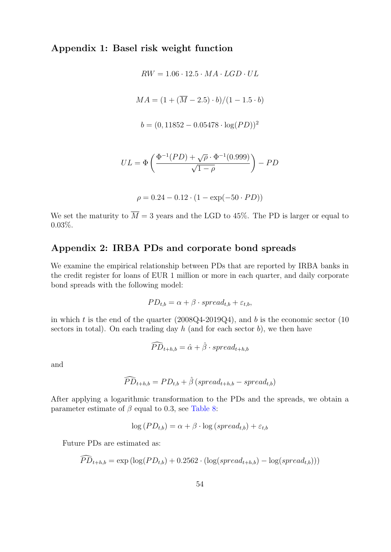## Appendix 1: Basel risk weight function

$$
RW = 1.06 \cdot 12.5 \cdot MA \cdot LGD \cdot UL
$$
  

$$
MA = (1 + (\overline{M} - 2.5) \cdot b) / (1 - 1.5 \cdot b)
$$
  

$$
b = (0, 11852 - 0.05478 \cdot \log(PD))^2
$$

$$
UL = \Phi\left(\frac{\Phi^{-1}(PD) + \sqrt{\rho} \cdot \Phi^{-1}(0.999)}{\sqrt{1-\rho}}\right) - PD
$$

$$
\rho = 0.24 - 0.12 \cdot (1 - \exp(-50 \cdot PD))
$$

We set the maturity to  $\overline{M} = 3$  years and the LGD to 45%. The PD is larger or equal to 0.03%.

## Appendix 2: IRBA PDs and corporate bond spreads

We examine the empirical relationship between PDs that are reported by IRBA banks in the credit register for loans of EUR 1 million or more in each quarter, and daily corporate bond spreads with the following model:

$$
PD_{t,b} = \alpha + \beta \cdot spread_{t,b} + \varepsilon_{t,b},
$$

in which t is the end of the quarter  $(2008Q4-2019Q4)$ , and b is the economic sector  $(10$ sectors in total). On each trading day  $h$  (and for each sector  $b$ ), we then have

$$
\widehat{PD}_{t+h,b} = \hat{\alpha} + \hat{\beta} \cdot spread_{t+h,b}
$$

and

$$
\widehat{PD}_{t+h,b} = PD_{t,b} + \hat{\beta} (spread_{t+h,b} - spread_{t,b})
$$

After applying a logarithmic transformation to the PDs and the spreads, we obtain a parameter estimate of  $\beta$  equal to 0.3, see [Table 8:](#page-59-0)

$$
\log(PD_{t,b}) = \alpha + \beta \cdot \log(spread_{t,b}) + \varepsilon_{t,b}
$$

Future PDs are estimated as:

$$
PD_{t+h,b} = \exp\left(\log(PD_{t,b}) + 0.2562 \cdot (\log(spred_{t+h,b}) - \log(spred_{t,b}))\right)
$$